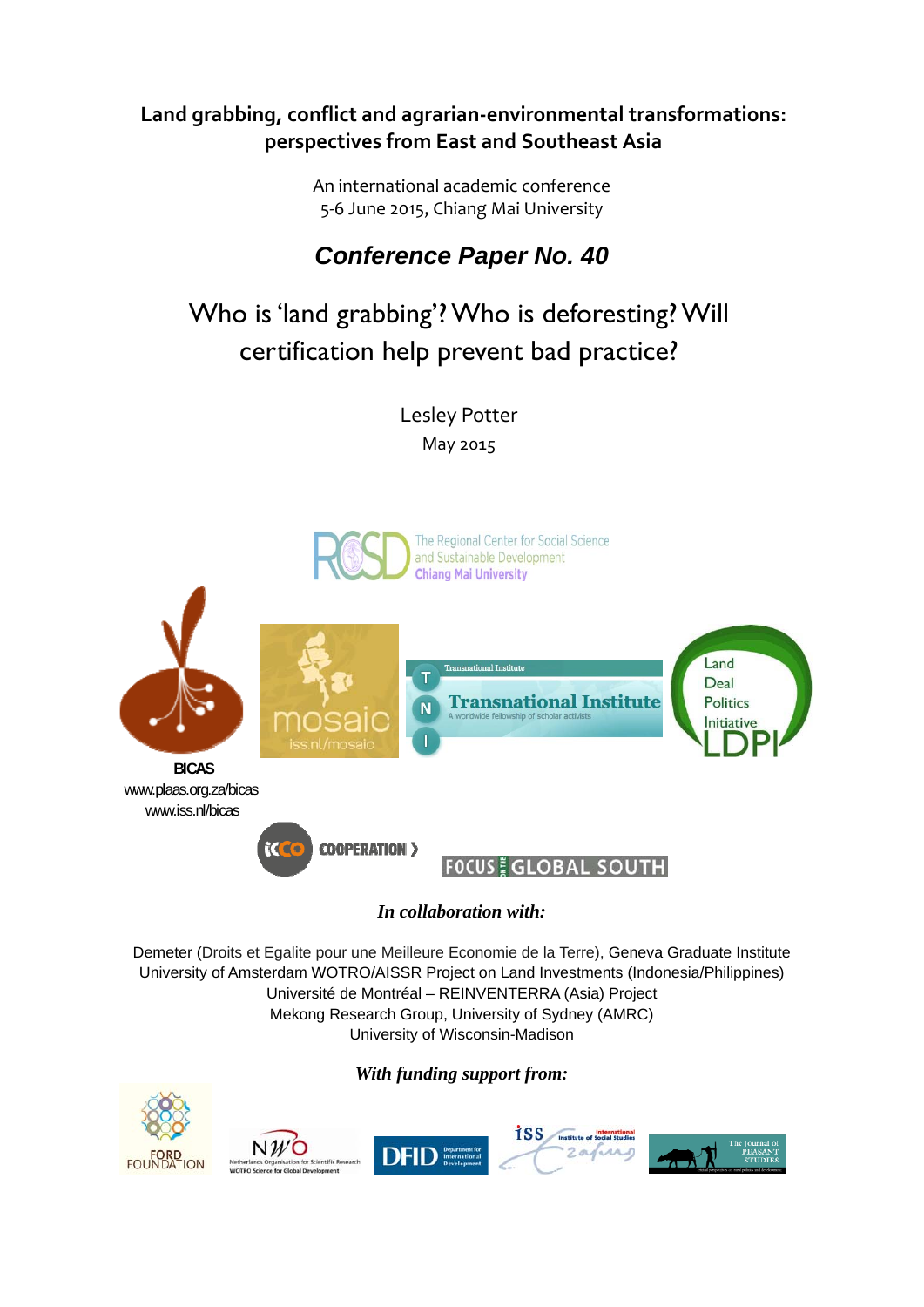# **Land grabbing, conflict and agrarian‐environmental transformations: perspectives from East and Southeast Asia**

An international academic conference 5‐6 June 2015, Chiang Mai University

# *Conference Paper No. 40*

# Who is 'land grabbing'? Who is deforesting? Will certification help prevent bad practice?

Lesley Potter May 2015



# *In collaboration with:*

Demeter (Droits et Egalite pour une Meilleure Economie de la Terre), Geneva Graduate Institute University of Amsterdam WOTRO/AISSR Project on Land Investments (Indonesia/Philippines) Université de Montréal – REINVENTERRA (Asia) Project Mekong Research Group, University of Sydney (AMRC) University of Wisconsin-Madison

# *With funding support from:*

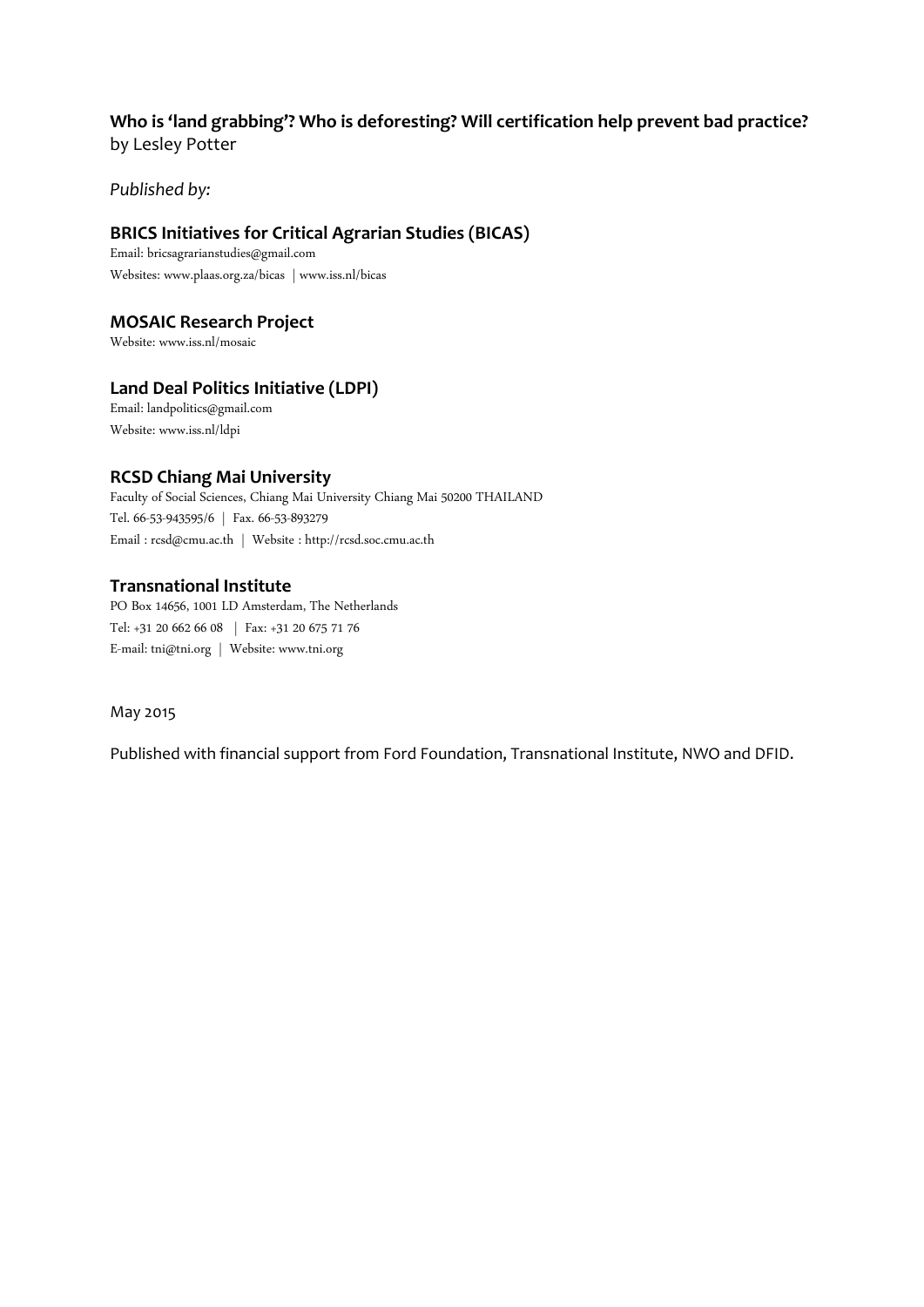### **Who is 'land grabbing'? Who is deforesting? Will certification help prevent bad practice?** by Lesley Potter

*Published by:* 

### **BRICS Initiatives for Critical Agrarian Studies (BICAS)**

Email: bricsagrarianstudies@gmail.com Websites: www.plaas.org.za/bicas | www.iss.nl/bicas

### **MOSAIC Research Project**

Website: www.iss.nl/mosaic

### **Land Deal Politics Initiative (LDPI)**

Email: landpolitics@gmail.com Website: www.iss.nl/ldpi

### **RCSD Chiang Mai University**

Faculty of Social Sciences, Chiang Mai University Chiang Mai 50200 THAILAND Tel. 66-53-943595/6 | Fax. 66-53-893279 Email : rcsd@cmu.ac.th | Website : http://rcsd.soc.cmu.ac.th

### **Transnational Institute**

PO Box 14656, 1001 LD Amsterdam, The Netherlands Tel: +31 20 662 66 08 | Fax: +31 20 675 71 76 Email: tni@tni.org | Website: www.tni.org

May 2015

Published with financial support from Ford Foundation, Transnational Institute, NWO and DFID.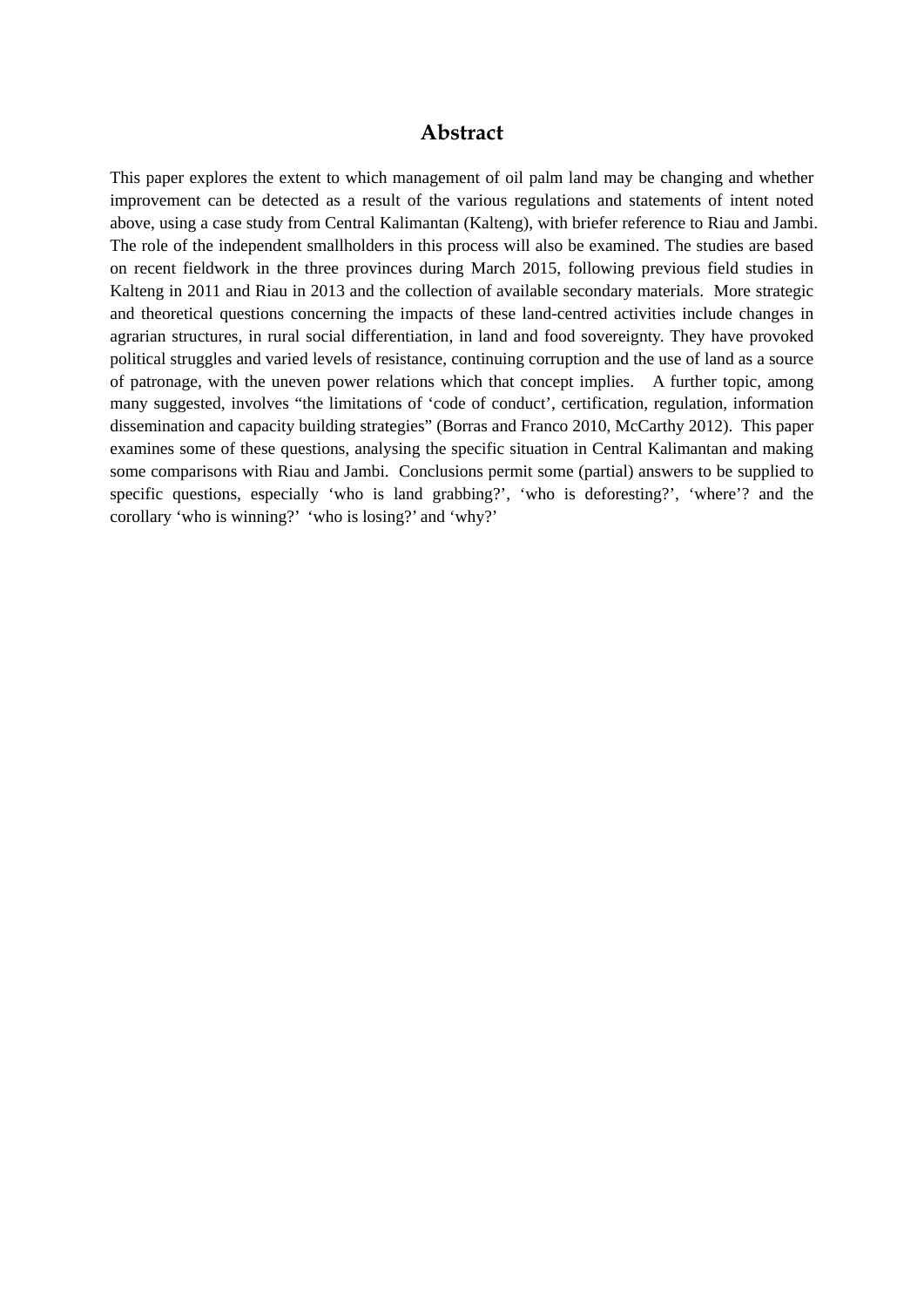### **Abstract**

This paper explores the extent to which management of oil palm land may be changing and whether improvement can be detected as a result of the various regulations and statements of intent noted above, using a case study from Central Kalimantan (Kalteng), with briefer reference to Riau and Jambi. The role of the independent smallholders in this process will also be examined. The studies are based on recent fieldwork in the three provinces during March 2015, following previous field studies in Kalteng in 2011 and Riau in 2013 and the collection of available secondary materials. More strategic and theoretical questions concerning the impacts of these land-centred activities include changes in agrarian structures, in rural social differentiation, in land and food sovereignty. They have provoked political struggles and varied levels of resistance, continuing corruption and the use of land as a source of patronage, with the uneven power relations which that concept implies. A further topic, among many suggested, involves "the limitations of 'code of conduct', certification, regulation, information dissemination and capacity building strategies" (Borras and Franco 2010, McCarthy 2012). This paper examines some of these questions, analysing the specific situation in Central Kalimantan and making some comparisons with Riau and Jambi. Conclusions permit some (partial) answers to be supplied to specific questions, especially 'who is land grabbing?', 'who is deforesting?', 'where'? and the corollary 'who is winning?' 'who is losing?' and 'why?'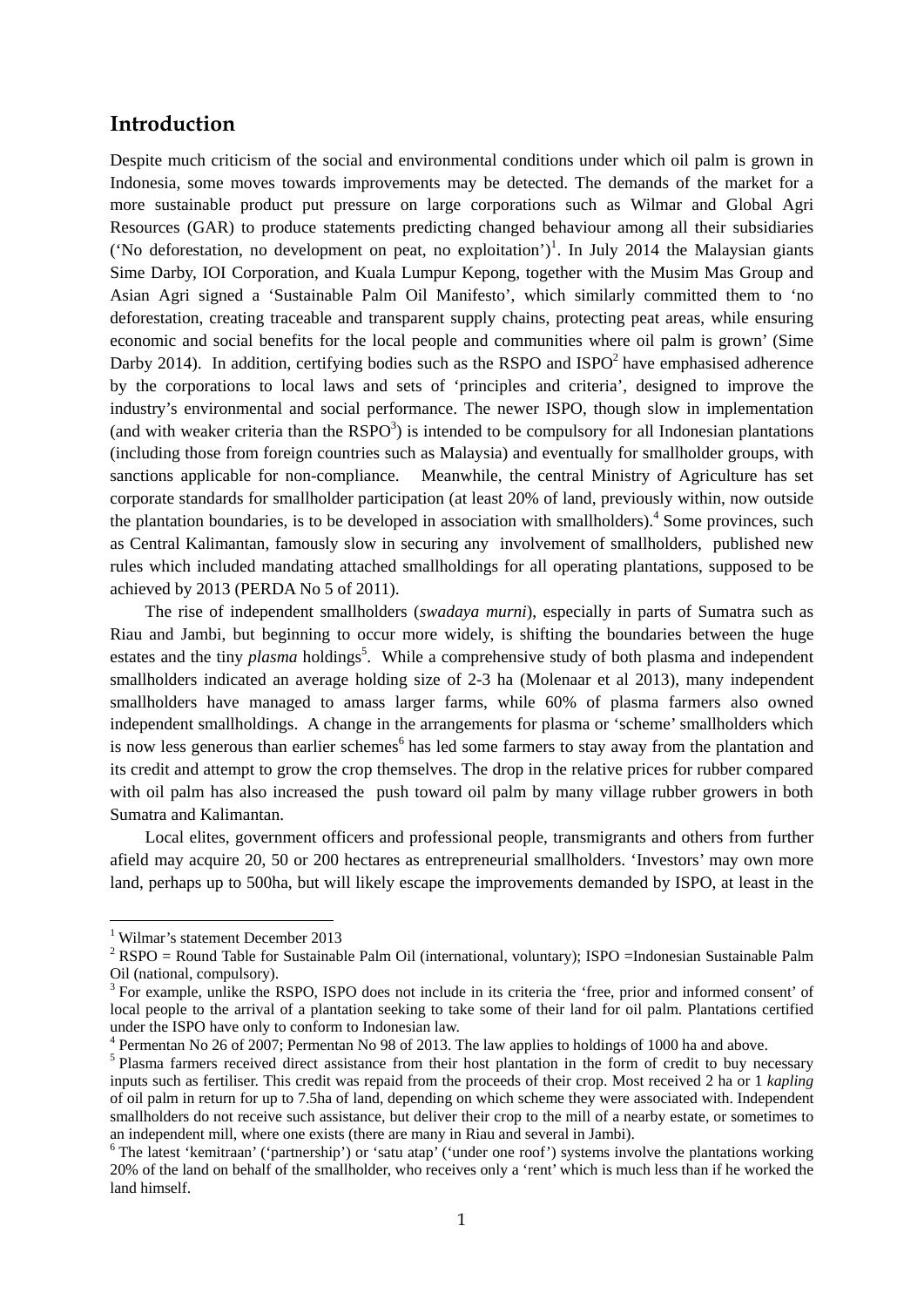### **Introduction**

Despite much criticism of the social and environmental conditions under which oil palm is grown in Indonesia, some moves towards improvements may be detected. The demands of the market for a more sustainable product put pressure on large corporations such as Wilmar and Global Agri Resources (GAR) to produce statements predicting changed behaviour among all their subsidiaries ('No deforestation, no development on peat, no exploitation')<sup>1</sup>. In July 2014 the Malaysian giants Sime Darby, IOI Corporation, and Kuala Lumpur Kepong, together with the Musim Mas Group and Asian Agri signed a 'Sustainable Palm Oil Manifesto', which similarly committed them to 'no deforestation, creating traceable and transparent supply chains, protecting peat areas, while ensuring economic and social benefits for the local people and communities where oil palm is grown' (Sime Darby 2014). In addition, certifying bodies such as the RSPO and  $ISPO<sup>2</sup>$  have emphasised adherence by the corporations to local laws and sets of 'principles and criteria', designed to improve the industry's environmental and social performance. The newer ISPO, though slow in implementation (and with weaker criteria than the  $RSPO<sup>3</sup>$ ) is intended to be compulsory for all Indonesian plantations (including those from foreign countries such as Malaysia) and eventually for smallholder groups, with sanctions applicable for non-compliance. Meanwhile, the central Ministry of Agriculture has set corporate standards for smallholder participation (at least 20% of land, previously within, now outside the plantation boundaries, is to be developed in association with smallholders).<sup>4</sup> Some provinces, such as Central Kalimantan, famously slow in securing any involvement of smallholders, published new rules which included mandating attached smallholdings for all operating plantations, supposed to be achieved by 2013 (PERDA No 5 of 2011).

The rise of independent smallholders (*swadaya murni*), especially in parts of Sumatra such as Riau and Jambi, but beginning to occur more widely, is shifting the boundaries between the huge estates and the tiny *plasma* holdings<sup>5</sup>. While a comprehensive study of both plasma and independent smallholders indicated an average holding size of 2-3 ha (Molenaar et al 2013), many independent smallholders have managed to amass larger farms, while 60% of plasma farmers also owned independent smallholdings. A change in the arrangements for plasma or 'scheme' smallholders which is now less generous than earlier schemes<sup>6</sup> has led some farmers to stay away from the plantation and its credit and attempt to grow the crop themselves. The drop in the relative prices for rubber compared with oil palm has also increased the push toward oil palm by many village rubber growers in both Sumatra and Kalimantan.

Local elites, government officers and professional people, transmigrants and others from further afield may acquire 20, 50 or 200 hectares as entrepreneurial smallholders. 'Investors' may own more land, perhaps up to 500ha, but will likely escape the improvements demanded by ISPO, at least in the

<sup>1</sup> Wilmar's statement December 2013

<sup>&</sup>lt;sup>2</sup> RSPO = Round Table for Sustainable Palm Oil (international, voluntary); ISPO = Indonesian Sustainable Palm Oil (national, compulsory).

<sup>&</sup>lt;sup>3</sup> For example, unlike the RSPO, ISPO does not include in its criteria the 'free, prior and informed consent' of local people to the arrival of a plantation seeking to take some of their land for oil palm. Plantations certified under the ISPO have only to conform to Indonesian law.

<sup>&</sup>lt;sup>4</sup> Permentan No 26 of 2007; Permentan No 98 of 2013. The law applies to holdings of 1000 ha and above.

<sup>&</sup>lt;sup>5</sup> Plasma farmers received direct assistance from their host plantation in the form of credit to buy necessary inputs such as fertiliser. This credit was repaid from the proceeds of their crop. Most received 2 ha or 1 *kapling* of oil palm in return for up to 7.5ha of land, depending on which scheme they were associated with. Independent smallholders do not receive such assistance, but deliver their crop to the mill of a nearby estate, or sometimes to an independent mill, where one exists (there are many in Riau and several in Jambi).

<sup>&</sup>lt;sup>6</sup> The latest 'kemitraan' ('partnership') or 'satu atap' ('under one roof') systems involve the plantations working 20% of the land on behalf of the smallholder, who receives only a 'rent' which is much less than if he worked the land himself.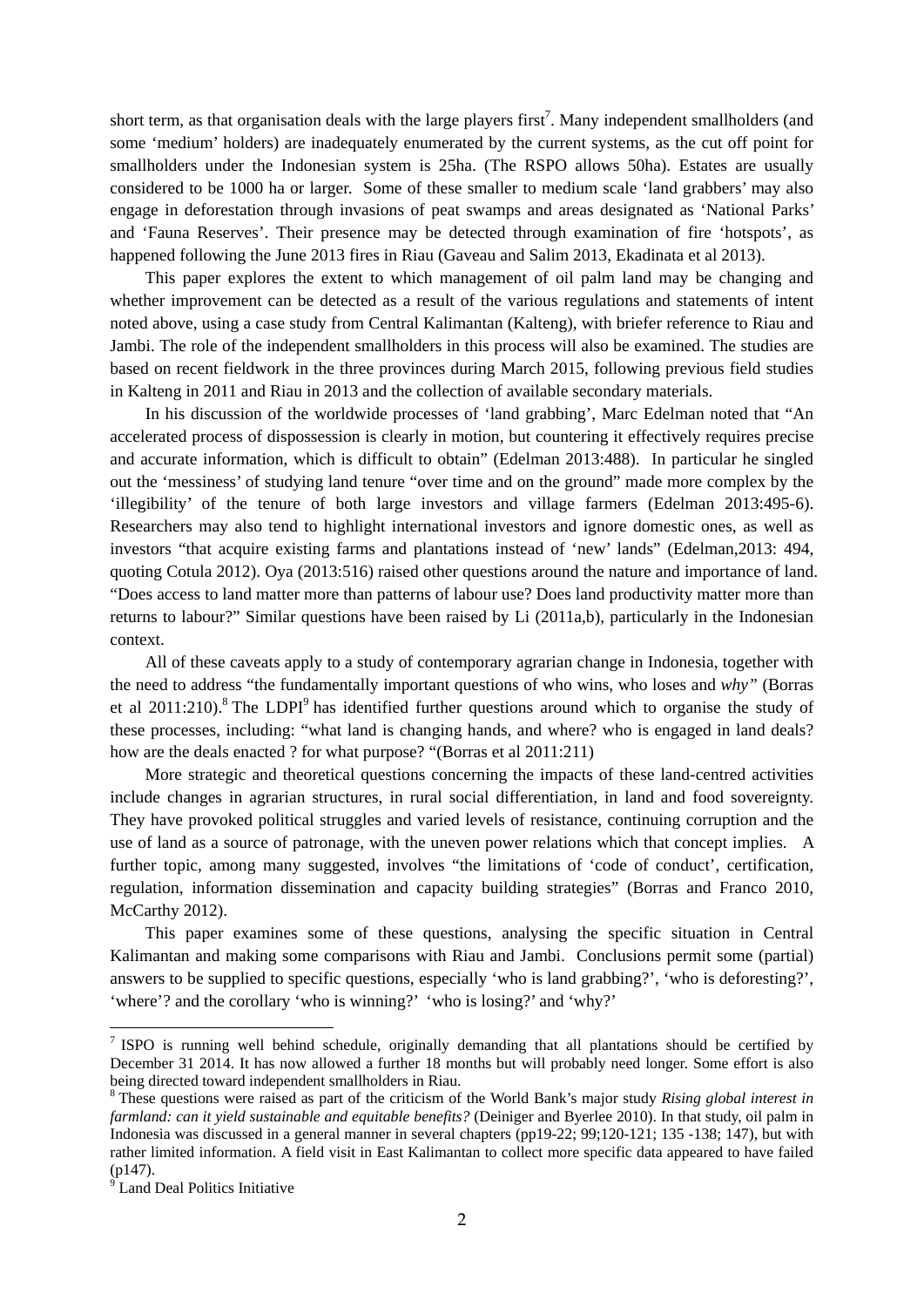short term, as that organisation deals with the large players first<sup>7</sup>. Many independent smallholders (and some 'medium' holders) are inadequately enumerated by the current systems, as the cut off point for smallholders under the Indonesian system is 25ha. (The RSPO allows 50ha). Estates are usually considered to be 1000 ha or larger. Some of these smaller to medium scale 'land grabbers' may also engage in deforestation through invasions of peat swamps and areas designated as 'National Parks' and 'Fauna Reserves'. Their presence may be detected through examination of fire 'hotspots', as happened following the June 2013 fires in Riau (Gaveau and Salim 2013, Ekadinata et al 2013).

This paper explores the extent to which management of oil palm land may be changing and whether improvement can be detected as a result of the various regulations and statements of intent noted above, using a case study from Central Kalimantan (Kalteng), with briefer reference to Riau and Jambi. The role of the independent smallholders in this process will also be examined. The studies are based on recent fieldwork in the three provinces during March 2015, following previous field studies in Kalteng in 2011 and Riau in 2013 and the collection of available secondary materials.

In his discussion of the worldwide processes of 'land grabbing', Marc Edelman noted that "An accelerated process of dispossession is clearly in motion, but countering it effectively requires precise and accurate information, which is difficult to obtain" (Edelman 2013:488). In particular he singled out the 'messiness' of studying land tenure "over time and on the ground" made more complex by the 'illegibility' of the tenure of both large investors and village farmers (Edelman 2013:495-6). Researchers may also tend to highlight international investors and ignore domestic ones, as well as investors "that acquire existing farms and plantations instead of 'new' lands" (Edelman,2013: 494, quoting Cotula 2012). Oya (2013:516) raised other questions around the nature and importance of land. "Does access to land matter more than patterns of labour use? Does land productivity matter more than returns to labour?" Similar questions have been raised by Li (2011a,b), particularly in the Indonesian context.

All of these caveats apply to a study of contemporary agrarian change in Indonesia, together with the need to address "the fundamentally important questions of who wins, who loses and *why"* (Borras et al  $2011:210$ ).<sup>8</sup> The LDPI<sup>9</sup> has identified further questions around which to organise the study of these processes, including: "what land is changing hands, and where? who is engaged in land deals? how are the deals enacted ? for what purpose? "(Borras et al 2011:211)

More strategic and theoretical questions concerning the impacts of these land-centred activities include changes in agrarian structures, in rural social differentiation, in land and food sovereignty. They have provoked political struggles and varied levels of resistance, continuing corruption and the use of land as a source of patronage, with the uneven power relations which that concept implies. A further topic, among many suggested, involves "the limitations of 'code of conduct', certification, regulation, information dissemination and capacity building strategies" (Borras and Franco 2010, McCarthy 2012).

This paper examines some of these questions, analysing the specific situation in Central Kalimantan and making some comparisons with Riau and Jambi. Conclusions permit some (partial) answers to be supplied to specific questions, especially 'who is land grabbing?', 'who is deforesting?', 'where'? and the corollary 'who is winning?' 'who is losing?' and 'why?'

<sup>&</sup>lt;sup>7</sup> ISPO is running well behind schedule, originally demanding that all plantations should be certified by December 31 2014. It has now allowed a further 18 months but will probably need longer. Some effort is also being directed toward independent smallholders in Riau.

<sup>8</sup> These questions were raised as part of the criticism of the World Bank's major study *Rising global interest in farmland: can it yield sustainable and equitable benefits?* (Deiniger and Byerlee 2010). In that study, oil palm in Indonesia was discussed in a general manner in several chapters (pp19-22; 99;120-121; 135 -138; 147), but with rather limited information. A field visit in East Kalimantan to collect more specific data appeared to have failed (p147).

<sup>&</sup>lt;sup>9</sup> Land Deal Politics Initiative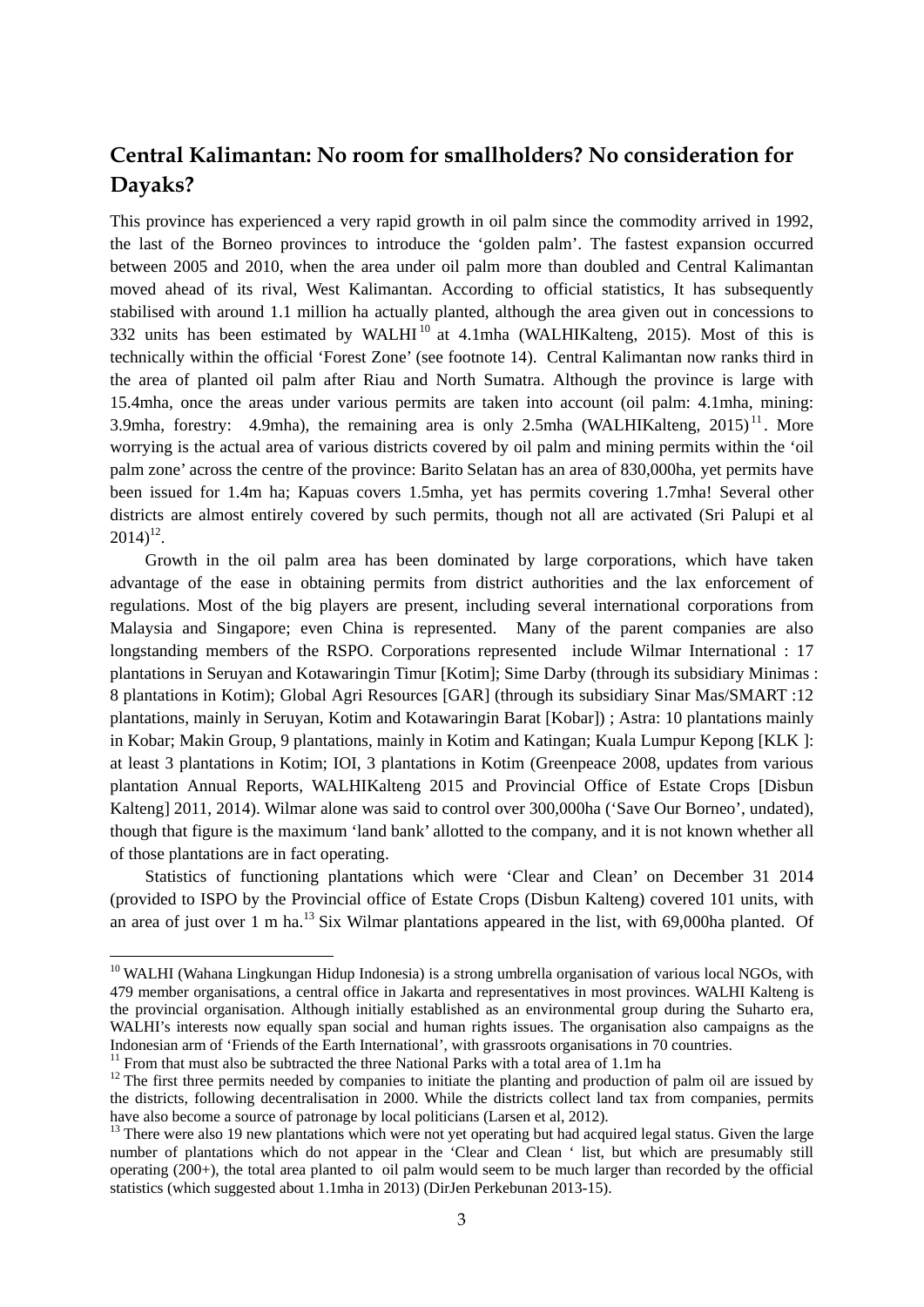# **Central Kalimantan: No room for smallholders? No consideration for Dayaks?**

This province has experienced a very rapid growth in oil palm since the commodity arrived in 1992, the last of the Borneo provinces to introduce the 'golden palm'. The fastest expansion occurred between 2005 and 2010, when the area under oil palm more than doubled and Central Kalimantan moved ahead of its rival, West Kalimantan. According to official statistics, It has subsequently stabilised with around 1.1 million ha actually planted, although the area given out in concessions to 332 units has been estimated by WALHI $^{10}$  at 4.1mha (WALHIKalteng, 2015). Most of this is technically within the official 'Forest Zone' (see footnote 14). Central Kalimantan now ranks third in the area of planted oil palm after Riau and North Sumatra. Although the province is large with 15.4mha, once the areas under various permits are taken into account (oil palm: 4.1mha, mining: 3.9mha, forestry: 4.9mha), the remaining area is only 2.5mha (WALHIKalteng,  $2015$ )<sup>11</sup>. More worrying is the actual area of various districts covered by oil palm and mining permits within the 'oil palm zone' across the centre of the province: Barito Selatan has an area of 830,000ha, yet permits have been issued for 1.4m ha; Kapuas covers 1.5mha, yet has permits covering 1.7mha! Several other districts are almost entirely covered by such permits, though not all are activated (Sri Palupi et al  $2014$ <sup>12</sup>.

Growth in the oil palm area has been dominated by large corporations, which have taken advantage of the ease in obtaining permits from district authorities and the lax enforcement of regulations. Most of the big players are present, including several international corporations from Malaysia and Singapore; even China is represented. Many of the parent companies are also longstanding members of the RSPO. Corporations represented include Wilmar International : 17 plantations in Seruyan and Kotawaringin Timur [Kotim]; Sime Darby (through its subsidiary Minimas : 8 plantations in Kotim); Global Agri Resources [GAR] (through its subsidiary Sinar Mas/SMART :12 plantations, mainly in Seruyan, Kotim and Kotawaringin Barat [Kobar]) ; Astra: 10 plantations mainly in Kobar; Makin Group, 9 plantations, mainly in Kotim and Katingan; Kuala Lumpur Kepong [KLK ]: at least 3 plantations in Kotim; IOI, 3 plantations in Kotim (Greenpeace 2008, updates from various plantation Annual Reports, WALHIKalteng 2015 and Provincial Office of Estate Crops [Disbun Kalteng] 2011, 2014). Wilmar alone was said to control over 300,000ha ('Save Our Borneo', undated), though that figure is the maximum 'land bank' allotted to the company, and it is not known whether all of those plantations are in fact operating.

Statistics of functioning plantations which were 'Clear and Clean' on December 31 2014 (provided to ISPO by the Provincial office of Estate Crops (Disbun Kalteng) covered 101 units, with an area of just over 1 m ha.<sup>13</sup> Six Wilmar plantations appeared in the list, with 69,000ha planted. Of

<sup>&</sup>lt;sup>10</sup> WALHI (Wahana Lingkungan Hidup Indonesia) is a strong umbrella organisation of various local NGOs, with 479 member organisations, a central office in Jakarta and representatives in most provinces. WALHI Kalteng is the provincial organisation. Although initially established as an environmental group during the Suharto era, WALHI's interests now equally span social and human rights issues. The organisation also campaigns as the Indonesian arm of 'Friends of the Earth International', with grassroots organisations in 70 countries.

<sup>&</sup>lt;sup>11</sup> From that must also be subtracted the three National Parks with a total area of 1.1m ha

 $12$  The first three permits needed by companies to initiate the planting and production of palm oil are issued by the districts, following decentralisation in 2000. While the districts collect land tax from companies, permits have also become a source of patronage by local politicians (Larsen et al, 2012).

<sup>&</sup>lt;sup>13</sup> There were also 19 new plantations which were not yet operating but had acquired legal status. Given the large number of plantations which do not appear in the 'Clear and Clean ' list, but which are presumably still operating (200+), the total area planted to oil palm would seem to be much larger than recorded by the official statistics (which suggested about 1.1mha in 2013) (DirJen Perkebunan 2013-15).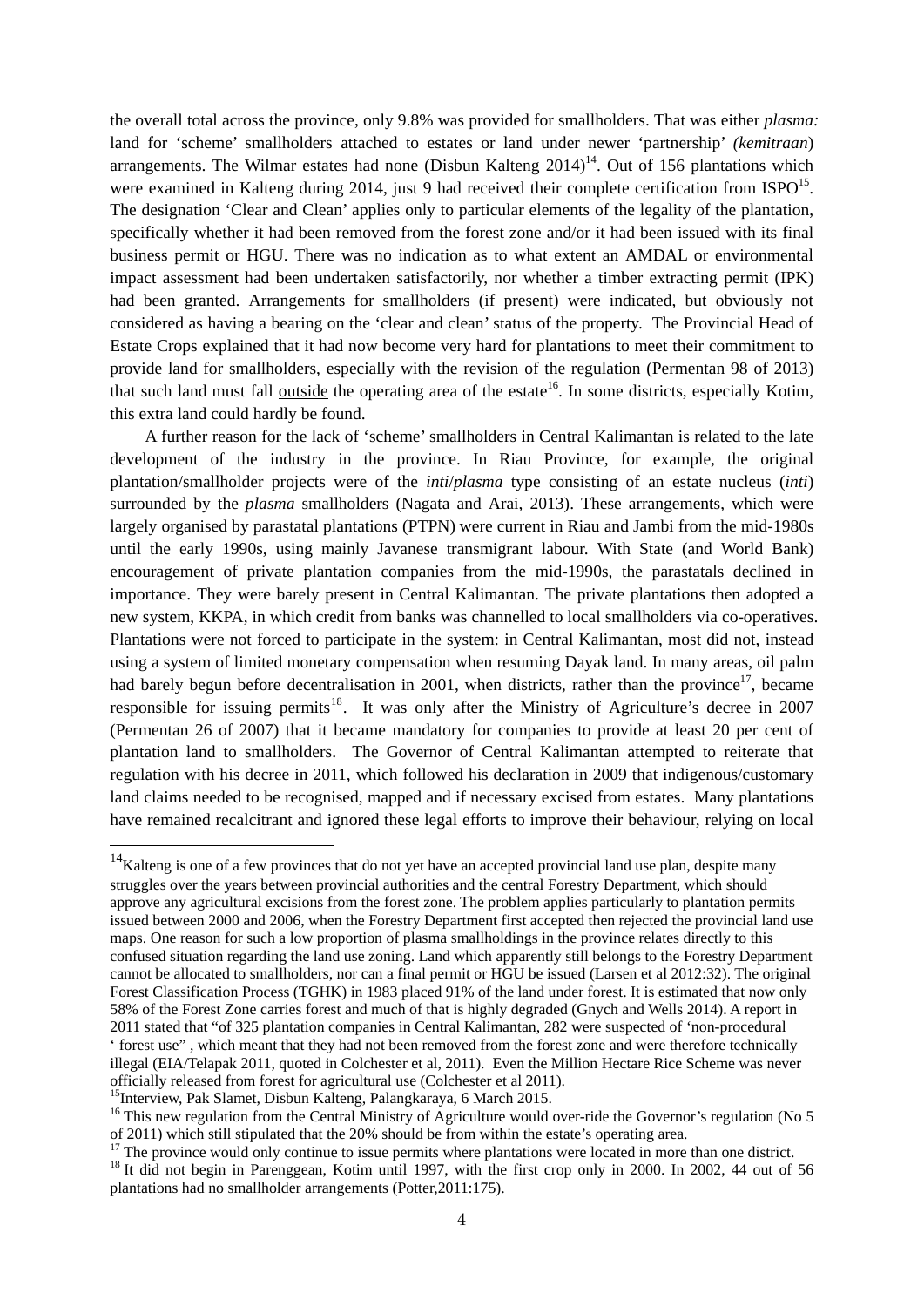the overall total across the province, only 9.8% was provided for smallholders. That was either *plasma:*  land for 'scheme' smallholders attached to estates or land under newer 'partnership' *(kemitraan*) arrangements. The Wilmar estates had none (Disbun Kalteng  $2014$ )<sup>14</sup>. Out of 156 plantations which were examined in Kalteng during 2014, just 9 had received their complete certification from  $ISPO^{15}$ . The designation 'Clear and Clean' applies only to particular elements of the legality of the plantation, specifically whether it had been removed from the forest zone and/or it had been issued with its final business permit or HGU. There was no indication as to what extent an AMDAL or environmental impact assessment had been undertaken satisfactorily, nor whether a timber extracting permit (IPK) had been granted. Arrangements for smallholders (if present) were indicated, but obviously not considered as having a bearing on the 'clear and clean' status of the property. The Provincial Head of Estate Crops explained that it had now become very hard for plantations to meet their commitment to provide land for smallholders, especially with the revision of the regulation (Permentan 98 of 2013) that such land must fall outside the operating area of the estate<sup>16</sup>. In some districts, especially Kotim, this extra land could hardly be found.

A further reason for the lack of 'scheme' smallholders in Central Kalimantan is related to the late development of the industry in the province. In Riau Province, for example, the original plantation/smallholder projects were of the *inti*/*plasma* type consisting of an estate nucleus (*inti*) surrounded by the *plasma* smallholders (Nagata and Arai, 2013). These arrangements, which were largely organised by parastatal plantations (PTPN) were current in Riau and Jambi from the mid-1980s until the early 1990s, using mainly Javanese transmigrant labour. With State (and World Bank) encouragement of private plantation companies from the mid-1990s, the parastatals declined in importance. They were barely present in Central Kalimantan. The private plantations then adopted a new system, KKPA, in which credit from banks was channelled to local smallholders via co-operatives. Plantations were not forced to participate in the system: in Central Kalimantan, most did not, instead using a system of limited monetary compensation when resuming Dayak land. In many areas, oil palm had barely begun before decentralisation in 2001, when districts, rather than the province<sup>17</sup>, became responsible for issuing permits<sup>18</sup>. It was only after the Ministry of Agriculture's decree in 2007 (Permentan 26 of 2007) that it became mandatory for companies to provide at least 20 per cent of plantation land to smallholders. The Governor of Central Kalimantan attempted to reiterate that regulation with his decree in 2011, which followed his declaration in 2009 that indigenous/customary land claims needed to be recognised, mapped and if necessary excised from estates. Many plantations have remained recalcitrant and ignored these legal efforts to improve their behaviour, relying on local

<sup>&</sup>lt;sup>14</sup>Kalteng is one of a few provinces that do not yet have an accepted provincial land use plan, despite many struggles over the years between provincial authorities and the central Forestry Department, which should approve any agricultural excisions from the forest zone. The problem applies particularly to plantation permits issued between 2000 and 2006, when the Forestry Department first accepted then rejected the provincial land use maps. One reason for such a low proportion of plasma smallholdings in the province relates directly to this confused situation regarding the land use zoning. Land which apparently still belongs to the Forestry Department cannot be allocated to smallholders, nor can a final permit or HGU be issued (Larsen et al 2012:32). The original Forest Classification Process (TGHK) in 1983 placed 91% of the land under forest. It is estimated that now only 58% of the Forest Zone carries forest and much of that is highly degraded (Gnych and Wells 2014). A report in 2011 stated that "of 325 plantation companies in Central Kalimantan, 282 were suspected of 'non-procedural ' forest use" , which meant that they had not been removed from the forest zone and were therefore technically illegal (EIA/Telapak 2011, quoted in Colchester et al, 2011). Even the Million Hectare Rice Scheme was never officially released from forest for agricultural use (Colchester et al 2011). 15Interview, Pak Slamet, Disbun Kalteng, Palangkaraya, 6 March 2015.

<sup>&</sup>lt;sup>16</sup> This new regulation from the Central Ministry of Agriculture would over-ride the Governor's regulation (No 5 of 2011) which still stipulated that the 20% should be from within the estate's operating area. 17 The province would only continue to issue permits where plantations were located in more than one district.

<sup>&</sup>lt;sup>18</sup> It did not begin in Parenggean, Kotim until 1997, with the first crop only in 2000. In 2002, 44 out of 56 plantations had no smallholder arrangements (Potter,2011:175).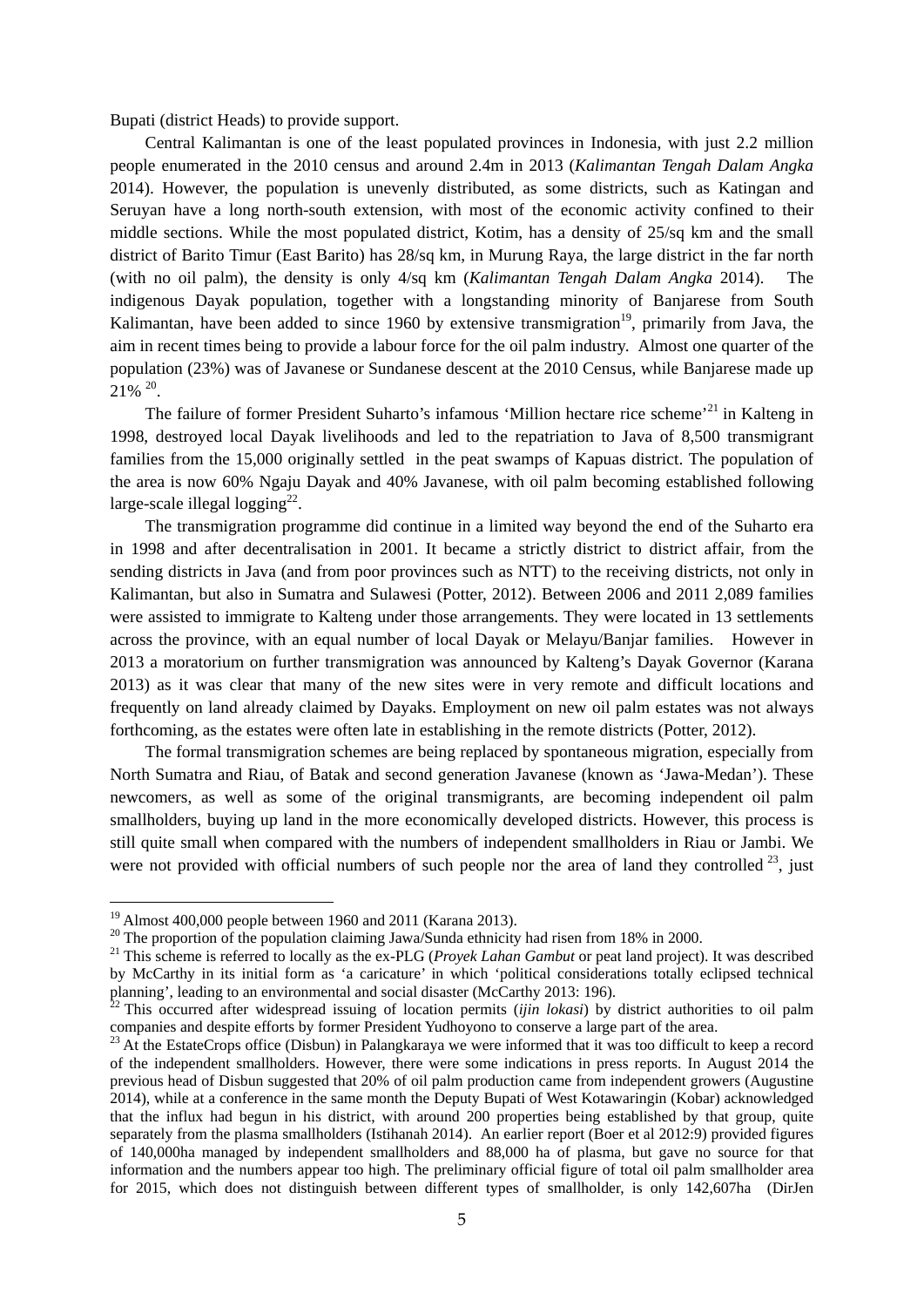Bupati (district Heads) to provide support.

Central Kalimantan is one of the least populated provinces in Indonesia, with just 2.2 million people enumerated in the 2010 census and around 2.4m in 2013 (*Kalimantan Tengah Dalam Angka* 2014). However, the population is unevenly distributed, as some districts, such as Katingan and Seruyan have a long north-south extension, with most of the economic activity confined to their middle sections. While the most populated district, Kotim, has a density of 25/sq km and the small district of Barito Timur (East Barito) has 28/sq km, in Murung Raya, the large district in the far north (with no oil palm), the density is only 4/sq km (*Kalimantan Tengah Dalam Angka* 2014). The indigenous Dayak population, together with a longstanding minority of Banjarese from South Kalimantan, have been added to since 1960 by extensive transmigration<sup>19</sup>, primarily from Java, the aim in recent times being to provide a labour force for the oil palm industry. Almost one quarter of the population (23%) was of Javanese or Sundanese descent at the 2010 Census, while Banjarese made up 21% 20.

The failure of former President Suharto's infamous 'Million hectare rice scheme'<sup>21</sup> in Kalteng in 1998, destroyed local Dayak livelihoods and led to the repatriation to Java of 8,500 transmigrant families from the 15,000 originally settled in the peat swamps of Kapuas district. The population of the area is now 60% Ngaju Dayak and 40% Javanese, with oil palm becoming established following large-scale illegal logging<sup>22</sup>.

The transmigration programme did continue in a limited way beyond the end of the Suharto era in 1998 and after decentralisation in 2001. It became a strictly district to district affair, from the sending districts in Java (and from poor provinces such as NTT) to the receiving districts, not only in Kalimantan, but also in Sumatra and Sulawesi (Potter, 2012). Between 2006 and 2011 2,089 families were assisted to immigrate to Kalteng under those arrangements. They were located in 13 settlements across the province, with an equal number of local Dayak or Melayu/Banjar families. However in 2013 a moratorium on further transmigration was announced by Kalteng's Dayak Governor (Karana 2013) as it was clear that many of the new sites were in very remote and difficult locations and frequently on land already claimed by Dayaks. Employment on new oil palm estates was not always forthcoming, as the estates were often late in establishing in the remote districts (Potter, 2012).

The formal transmigration schemes are being replaced by spontaneous migration, especially from North Sumatra and Riau, of Batak and second generation Javanese (known as 'Jawa-Medan'). These newcomers, as well as some of the original transmigrants, are becoming independent oil palm smallholders, buying up land in the more economically developed districts. However, this process is still quite small when compared with the numbers of independent smallholders in Riau or Jambi. We were not provided with official numbers of such people nor the area of land they controlled  $^{23}$ , just

<sup>19</sup> Almost 400,000 people between 1960 and 2011 (Karana 2013).

<sup>&</sup>lt;sup>20</sup> The proportion of the population claiming Jawa/Sunda ethnicity had risen from 18% in 2000.

<sup>21</sup> This scheme is referred to locally as the ex-PLG (*Proyek Lahan Gambut* or peat land project). It was described by McCarthy in its initial form as 'a caricature' in which 'political considerations totally eclipsed technical planning', leading to an environmental and social disaster (McCarthy 2013: 196).

<sup>&</sup>lt;sup>22</sup> This occurred after widespread issuing of location permits (*ijin lokasi*) by district authorities to oil palm companies and despite efforts by former President Yudhoyono to conserve a large part of the area.

<sup>&</sup>lt;sup>23</sup> At the EstateCrops office (Disbun) in Palangkaraya we were informed that it was too difficult to keep a record of the independent smallholders. However, there were some indications in press reports. In August 2014 the previous head of Disbun suggested that 20% of oil palm production came from independent growers (Augustine 2014), while at a conference in the same month the Deputy Bupati of West Kotawaringin (Kobar) acknowledged that the influx had begun in his district, with around 200 properties being established by that group, quite separately from the plasma smallholders (Istihanah 2014). An earlier report (Boer et al 2012:9) provided figures of 140,000ha managed by independent smallholders and 88,000 ha of plasma, but gave no source for that information and the numbers appear too high. The preliminary official figure of total oil palm smallholder area for 2015, which does not distinguish between different types of smallholder, is only 142,607ha (DirJen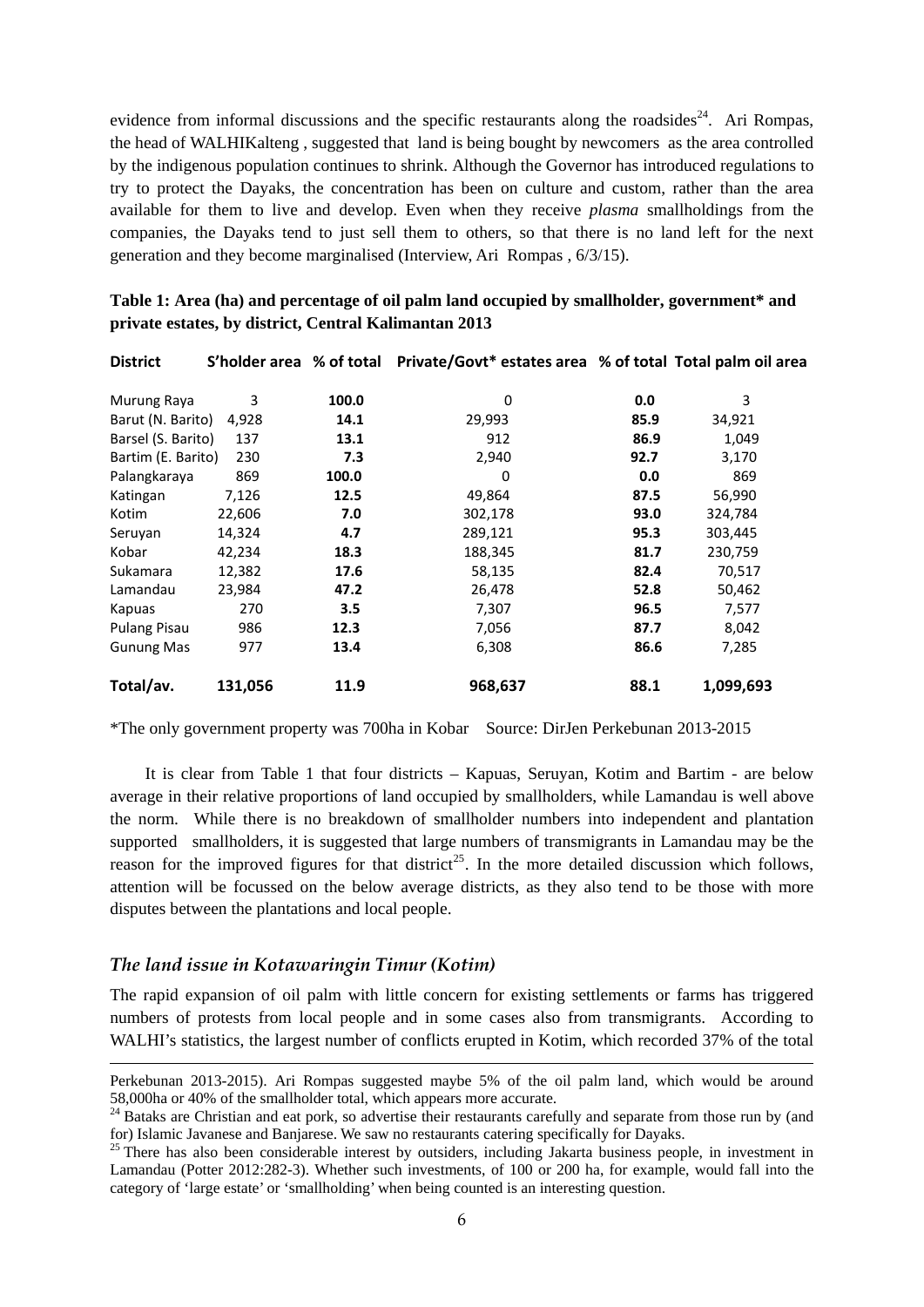evidence from informal discussions and the specific restaurants along the roadsides<sup>24</sup>. Ari Rompas, the head of WALHIKalteng , suggested that land is being bought by newcomers as the area controlled by the indigenous population continues to shrink. Although the Governor has introduced regulations to try to protect the Dayaks, the concentration has been on culture and custom, rather than the area available for them to live and develop. Even when they receive *plasma* smallholdings from the companies, the Dayaks tend to just sell them to others, so that there is no land left for the next generation and they become marginalised (Interview, Ari Rompas , 6/3/15).

| <b>District</b>     | S'holder area % of total |       | Private/Govt* estates area % of total Total palm oil area |      |           |
|---------------------|--------------------------|-------|-----------------------------------------------------------|------|-----------|
| Murung Raya         | 3                        | 100.0 | 0                                                         | 0.0  | 3         |
| Barut (N. Barito)   | 4,928                    | 14.1  | 29,993                                                    | 85.9 | 34,921    |
| Barsel (S. Barito)  | 137                      | 13.1  | 912                                                       | 86.9 | 1,049     |
| Bartim (E. Barito)  | 230                      | 7.3   | 2,940                                                     | 92.7 | 3,170     |
| Palangkaraya        | 869                      | 100.0 | 0                                                         | 0.0  | 869       |
| Katingan            | 7,126                    | 12.5  | 49,864                                                    | 87.5 | 56,990    |
| Kotim               | 22,606                   | 7.0   | 302,178                                                   | 93.0 | 324,784   |
| Seruyan             | 14,324                   | 4.7   | 289,121                                                   | 95.3 | 303,445   |
| Kobar               | 42,234                   | 18.3  | 188,345                                                   | 81.7 | 230,759   |
| Sukamara            | 12,382                   | 17.6  | 58,135                                                    | 82.4 | 70,517    |
| Lamandau            | 23,984                   | 47.2  | 26,478                                                    | 52.8 | 50,462    |
| Kapuas              | 270                      | 3.5   | 7,307                                                     | 96.5 | 7,577     |
| <b>Pulang Pisau</b> | 986                      | 12.3  | 7,056                                                     | 87.7 | 8,042     |
| <b>Gunung Mas</b>   | 977                      | 13.4  | 6,308                                                     | 86.6 | 7,285     |
| Total/av.           | 131,056                  | 11.9  | 968,637                                                   | 88.1 | 1,099,693 |

**Table 1: Area (ha) and percentage of oil palm land occupied by smallholder, government\* and private estates, by district, Central Kalimantan 2013** 

\*The only government property was 700ha in Kobar Source: DirJen Perkebunan 2013-2015

It is clear from Table 1 that four districts – Kapuas, Seruyan, Kotim and Bartim - are below average in their relative proportions of land occupied by smallholders, while Lamandau is well above the norm. While there is no breakdown of smallholder numbers into independent and plantation supported smallholders, it is suggested that large numbers of transmigrants in Lamandau may be the reason for the improved figures for that district<sup>25</sup>. In the more detailed discussion which follows, attention will be focussed on the below average districts, as they also tend to be those with more disputes between the plantations and local people.

#### *The land issue in Kotawaringin Timur (Kotim)*

The rapid expansion of oil palm with little concern for existing settlements or farms has triggered numbers of protests from local people and in some cases also from transmigrants. According to WALHI's statistics, the largest number of conflicts erupted in Kotim, which recorded 37% of the total

Perkebunan 2013-2015). Ari Rompas suggested maybe 5% of the oil palm land, which would be around 58,000ha or 40% of the smallholder total, which appears more accurate.<br><sup>24</sup> Bataks are Christian and eat pork, so advertise their restaurants carefully and separate from those run by (and

for) Islamic Javanese and Banjarese. We saw no restaurants catering specifically for Dayaks.

<sup>&</sup>lt;sup>25</sup> There has also been considerable interest by outsiders, including Jakarta business people, in investment in Lamandau (Potter 2012:282-3). Whether such investments, of 100 or 200 ha, for example, would fall into the category of 'large estate' or 'smallholding' when being counted is an interesting question.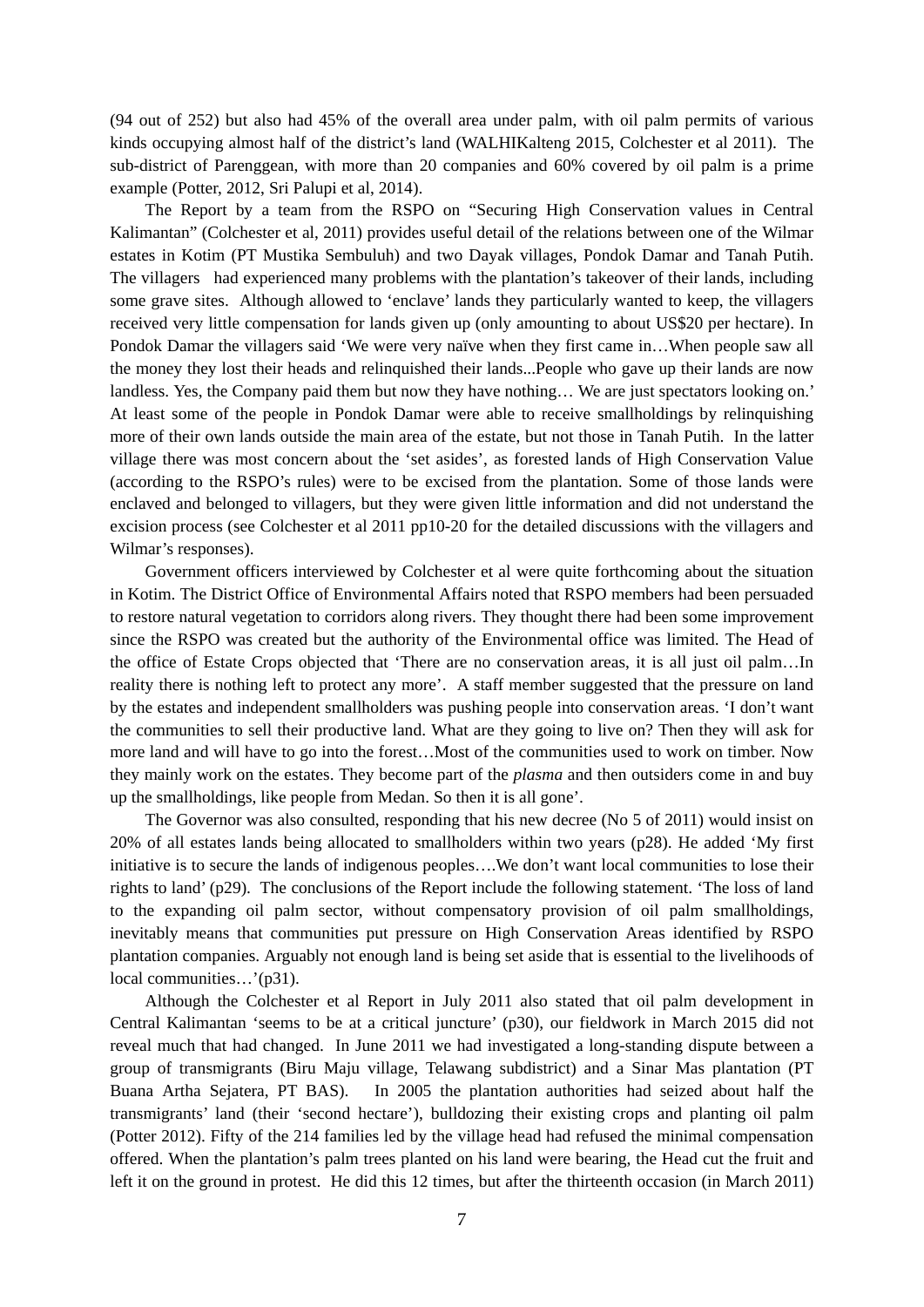(94 out of 252) but also had 45% of the overall area under palm, with oil palm permits of various kinds occupying almost half of the district's land (WALHIKalteng 2015, Colchester et al 2011). The sub-district of Parenggean, with more than 20 companies and 60% covered by oil palm is a prime example (Potter, 2012, Sri Palupi et al, 2014).

The Report by a team from the RSPO on "Securing High Conservation values in Central Kalimantan" (Colchester et al, 2011) provides useful detail of the relations between one of the Wilmar estates in Kotim (PT Mustika Sembuluh) and two Dayak villages, Pondok Damar and Tanah Putih. The villagers had experienced many problems with the plantation's takeover of their lands, including some grave sites. Although allowed to 'enclave' lands they particularly wanted to keep, the villagers received very little compensation for lands given up (only amounting to about US\$20 per hectare). In Pondok Damar the villagers said 'We were very naïve when they first came in…When people saw all the money they lost their heads and relinquished their lands...People who gave up their lands are now landless. Yes, the Company paid them but now they have nothing… We are just spectators looking on.' At least some of the people in Pondok Damar were able to receive smallholdings by relinquishing more of their own lands outside the main area of the estate, but not those in Tanah Putih. In the latter village there was most concern about the 'set asides', as forested lands of High Conservation Value (according to the RSPO's rules) were to be excised from the plantation. Some of those lands were enclaved and belonged to villagers, but they were given little information and did not understand the excision process (see Colchester et al 2011 pp10-20 for the detailed discussions with the villagers and Wilmar's responses).

Government officers interviewed by Colchester et al were quite forthcoming about the situation in Kotim. The District Office of Environmental Affairs noted that RSPO members had been persuaded to restore natural vegetation to corridors along rivers. They thought there had been some improvement since the RSPO was created but the authority of the Environmental office was limited. The Head of the office of Estate Crops objected that 'There are no conservation areas, it is all just oil palm…In reality there is nothing left to protect any more'. A staff member suggested that the pressure on land by the estates and independent smallholders was pushing people into conservation areas. 'I don't want the communities to sell their productive land. What are they going to live on? Then they will ask for more land and will have to go into the forest…Most of the communities used to work on timber. Now they mainly work on the estates. They become part of the *plasma* and then outsiders come in and buy up the smallholdings, like people from Medan. So then it is all gone'.

The Governor was also consulted, responding that his new decree (No 5 of 2011) would insist on 20% of all estates lands being allocated to smallholders within two years (p28). He added 'My first initiative is to secure the lands of indigenous peoples….We don't want local communities to lose their rights to land' (p29). The conclusions of the Report include the following statement. 'The loss of land to the expanding oil palm sector, without compensatory provision of oil palm smallholdings, inevitably means that communities put pressure on High Conservation Areas identified by RSPO plantation companies. Arguably not enough land is being set aside that is essential to the livelihoods of local communities...'(p31).

Although the Colchester et al Report in July 2011 also stated that oil palm development in Central Kalimantan 'seems to be at a critical juncture' (p30), our fieldwork in March 2015 did not reveal much that had changed. In June 2011 we had investigated a long-standing dispute between a group of transmigrants (Biru Maju village, Telawang subdistrict) and a Sinar Mas plantation (PT Buana Artha Sejatera, PT BAS). In 2005 the plantation authorities had seized about half the transmigrants' land (their 'second hectare'), bulldozing their existing crops and planting oil palm (Potter 2012). Fifty of the 214 families led by the village head had refused the minimal compensation offered. When the plantation's palm trees planted on his land were bearing, the Head cut the fruit and left it on the ground in protest. He did this 12 times, but after the thirteenth occasion (in March 2011)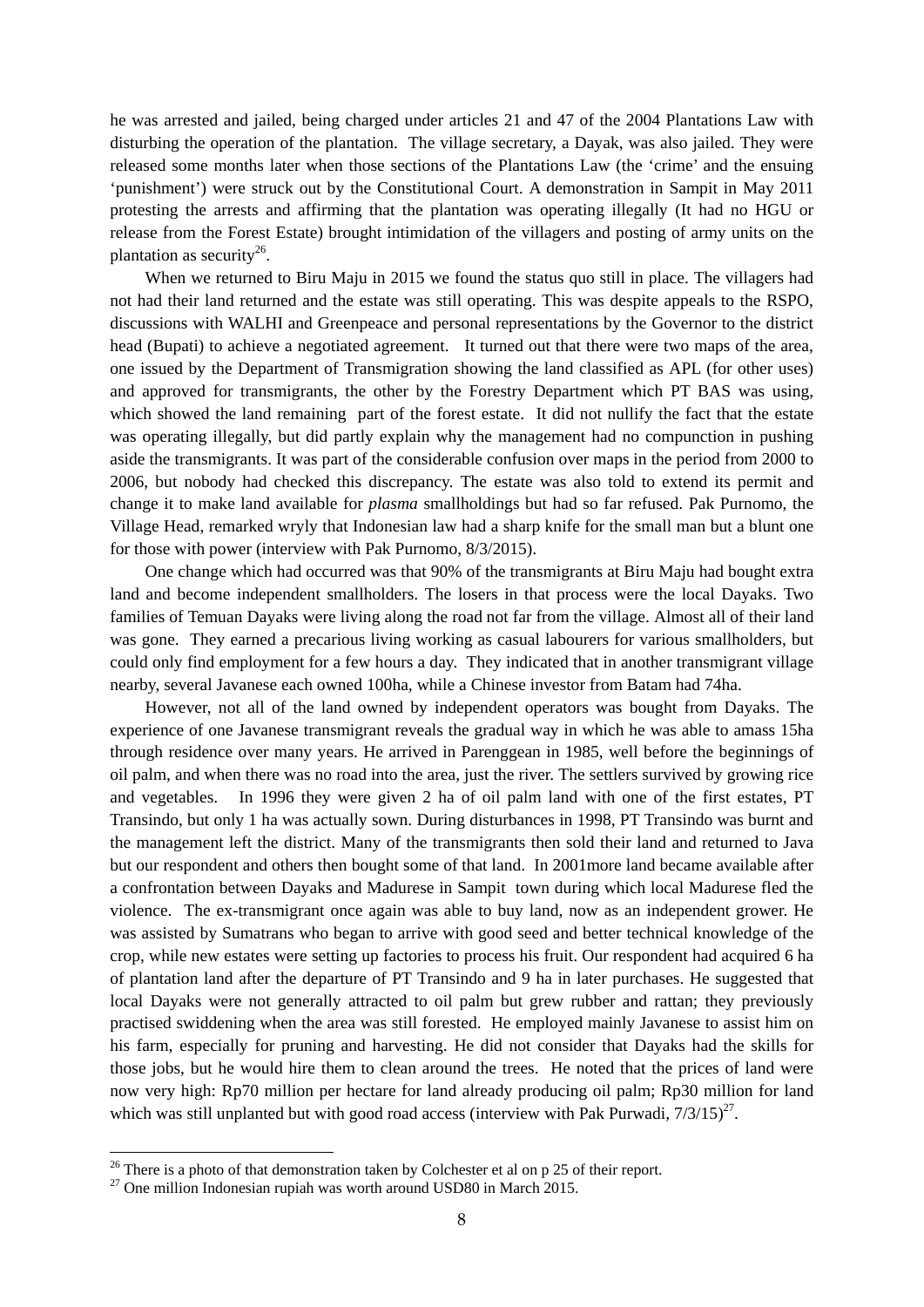he was arrested and jailed, being charged under articles 21 and 47 of the 2004 Plantations Law with disturbing the operation of the plantation. The village secretary, a Dayak, was also jailed. They were released some months later when those sections of the Plantations Law (the 'crime' and the ensuing 'punishment') were struck out by the Constitutional Court. A demonstration in Sampit in May 2011 protesting the arrests and affirming that the plantation was operating illegally (It had no HGU or release from the Forest Estate) brought intimidation of the villagers and posting of army units on the plantation as security<sup>26</sup>.

When we returned to Biru Maju in 2015 we found the status quo still in place. The villagers had not had their land returned and the estate was still operating. This was despite appeals to the RSPO, discussions with WALHI and Greenpeace and personal representations by the Governor to the district head (Bupati) to achieve a negotiated agreement. It turned out that there were two maps of the area, one issued by the Department of Transmigration showing the land classified as APL (for other uses) and approved for transmigrants, the other by the Forestry Department which PT BAS was using, which showed the land remaining part of the forest estate. It did not nullify the fact that the estate was operating illegally, but did partly explain why the management had no compunction in pushing aside the transmigrants. It was part of the considerable confusion over maps in the period from 2000 to 2006, but nobody had checked this discrepancy. The estate was also told to extend its permit and change it to make land available for *plasma* smallholdings but had so far refused. Pak Purnomo, the Village Head, remarked wryly that Indonesian law had a sharp knife for the small man but a blunt one for those with power (interview with Pak Purnomo, 8/3/2015).

One change which had occurred was that 90% of the transmigrants at Biru Maju had bought extra land and become independent smallholders. The losers in that process were the local Dayaks. Two families of Temuan Dayaks were living along the road not far from the village. Almost all of their land was gone. They earned a precarious living working as casual labourers for various smallholders, but could only find employment for a few hours a day. They indicated that in another transmigrant village nearby, several Javanese each owned 100ha, while a Chinese investor from Batam had 74ha.

However, not all of the land owned by independent operators was bought from Dayaks. The experience of one Javanese transmigrant reveals the gradual way in which he was able to amass 15ha through residence over many years. He arrived in Parenggean in 1985, well before the beginnings of oil palm, and when there was no road into the area, just the river. The settlers survived by growing rice and vegetables. In 1996 they were given 2 ha of oil palm land with one of the first estates, PT Transindo, but only 1 ha was actually sown. During disturbances in 1998, PT Transindo was burnt and the management left the district. Many of the transmigrants then sold their land and returned to Java but our respondent and others then bought some of that land. In 2001more land became available after a confrontation between Dayaks and Madurese in Sampit town during which local Madurese fled the violence. The ex-transmigrant once again was able to buy land, now as an independent grower. He was assisted by Sumatrans who began to arrive with good seed and better technical knowledge of the crop, while new estates were setting up factories to process his fruit. Our respondent had acquired 6 ha of plantation land after the departure of PT Transindo and 9 ha in later purchases. He suggested that local Dayaks were not generally attracted to oil palm but grew rubber and rattan; they previously practised swiddening when the area was still forested. He employed mainly Javanese to assist him on his farm, especially for pruning and harvesting. He did not consider that Dayaks had the skills for those jobs, but he would hire them to clean around the trees. He noted that the prices of land were now very high: Rp70 million per hectare for land already producing oil palm; Rp30 million for land which was still unplanted but with good road access (interview with Pak Purwadi,  $7/3/15$ )<sup>27</sup>.

<u>.</u>

 $26$  There is a photo of that demonstration taken by Colchester et al on p 25 of their report.

 $^{27}$  One million Indonesian rupiah was worth around USD80 in March 2015.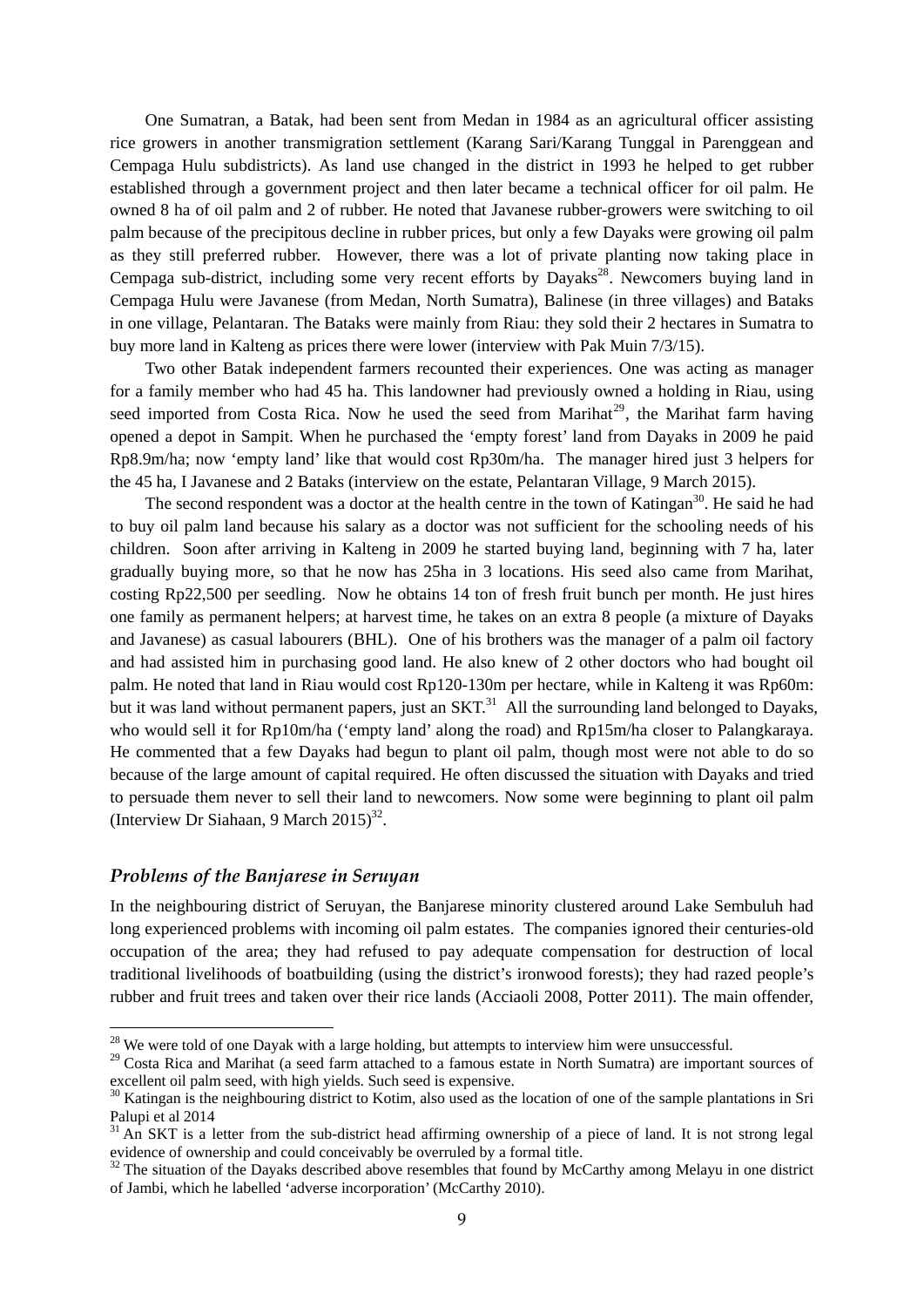One Sumatran, a Batak, had been sent from Medan in 1984 as an agricultural officer assisting rice growers in another transmigration settlement (Karang Sari/Karang Tunggal in Parenggean and Cempaga Hulu subdistricts). As land use changed in the district in 1993 he helped to get rubber established through a government project and then later became a technical officer for oil palm. He owned 8 ha of oil palm and 2 of rubber. He noted that Javanese rubber-growers were switching to oil palm because of the precipitous decline in rubber prices, but only a few Dayaks were growing oil palm as they still preferred rubber. However, there was a lot of private planting now taking place in Cempaga sub-district, including some very recent efforts by Dayaks<sup>28</sup>. Newcomers buying land in Cempaga Hulu were Javanese (from Medan, North Sumatra), Balinese (in three villages) and Bataks in one village, Pelantaran. The Bataks were mainly from Riau: they sold their 2 hectares in Sumatra to buy more land in Kalteng as prices there were lower (interview with Pak Muin 7/3/15).

Two other Batak independent farmers recounted their experiences. One was acting as manager for a family member who had 45 ha. This landowner had previously owned a holding in Riau, using seed imported from Costa Rica. Now he used the seed from Marihat<sup>29</sup>, the Marihat farm having opened a depot in Sampit. When he purchased the 'empty forest' land from Dayaks in 2009 he paid Rp8.9m/ha; now 'empty land' like that would cost Rp30m/ha. The manager hired just 3 helpers for the 45 ha, I Javanese and 2 Bataks (interview on the estate, Pelantaran Village, 9 March 2015).

The second respondent was a doctor at the health centre in the town of Katingan<sup>30</sup>. He said he had to buy oil palm land because his salary as a doctor was not sufficient for the schooling needs of his children. Soon after arriving in Kalteng in 2009 he started buying land, beginning with 7 ha, later gradually buying more, so that he now has 25ha in 3 locations. His seed also came from Marihat, costing Rp22,500 per seedling. Now he obtains 14 ton of fresh fruit bunch per month. He just hires one family as permanent helpers; at harvest time, he takes on an extra 8 people (a mixture of Dayaks and Javanese) as casual labourers (BHL). One of his brothers was the manager of a palm oil factory and had assisted him in purchasing good land. He also knew of 2 other doctors who had bought oil palm. He noted that land in Riau would cost Rp120-130m per hectare, while in Kalteng it was Rp60m: but it was land without permanent papers, just an SKT.<sup>31</sup> All the surrounding land belonged to Dayaks, who would sell it for Rp10m/ha ('empty land' along the road) and Rp15m/ha closer to Palangkaraya. He commented that a few Dayaks had begun to plant oil palm, though most were not able to do so because of the large amount of capital required. He often discussed the situation with Dayaks and tried to persuade them never to sell their land to newcomers. Now some were beginning to plant oil palm (Interview Dr Siahaan, 9 March  $2015$ <sup>32</sup>.

#### *Problems of the Banjarese in Seruyan*

1

In the neighbouring district of Seruyan, the Banjarese minority clustered around Lake Sembuluh had long experienced problems with incoming oil palm estates. The companies ignored their centuries-old occupation of the area; they had refused to pay adequate compensation for destruction of local traditional livelihoods of boatbuilding (using the district's ironwood forests); they had razed people's rubber and fruit trees and taken over their rice lands (Acciaoli 2008, Potter 2011). The main offender,

 $28$  We were told of one Dayak with a large holding, but attempts to interview him were unsuccessful.

<sup>&</sup>lt;sup>29</sup> Costa Rica and Marihat (a seed farm attached to a famous estate in North Sumatra) are important sources of excellent oil palm seed, with high yields. Such seed is expensive.

<sup>&</sup>lt;sup>30</sup> Katingan is the neighbouring district to Kotim, also used as the location of one of the sample plantations in Sri Palupi et al 2014

<sup>&</sup>lt;sup>31</sup> An SKT is a letter from the sub-district head affirming ownership of a piece of land. It is not strong legal evidence of ownership and could conceivably be overruled by a formal title.

 $32$  The situation of the Dayaks described above resembles that found by McCarthy among Melayu in one district of Jambi, which he labelled 'adverse incorporation' (McCarthy 2010).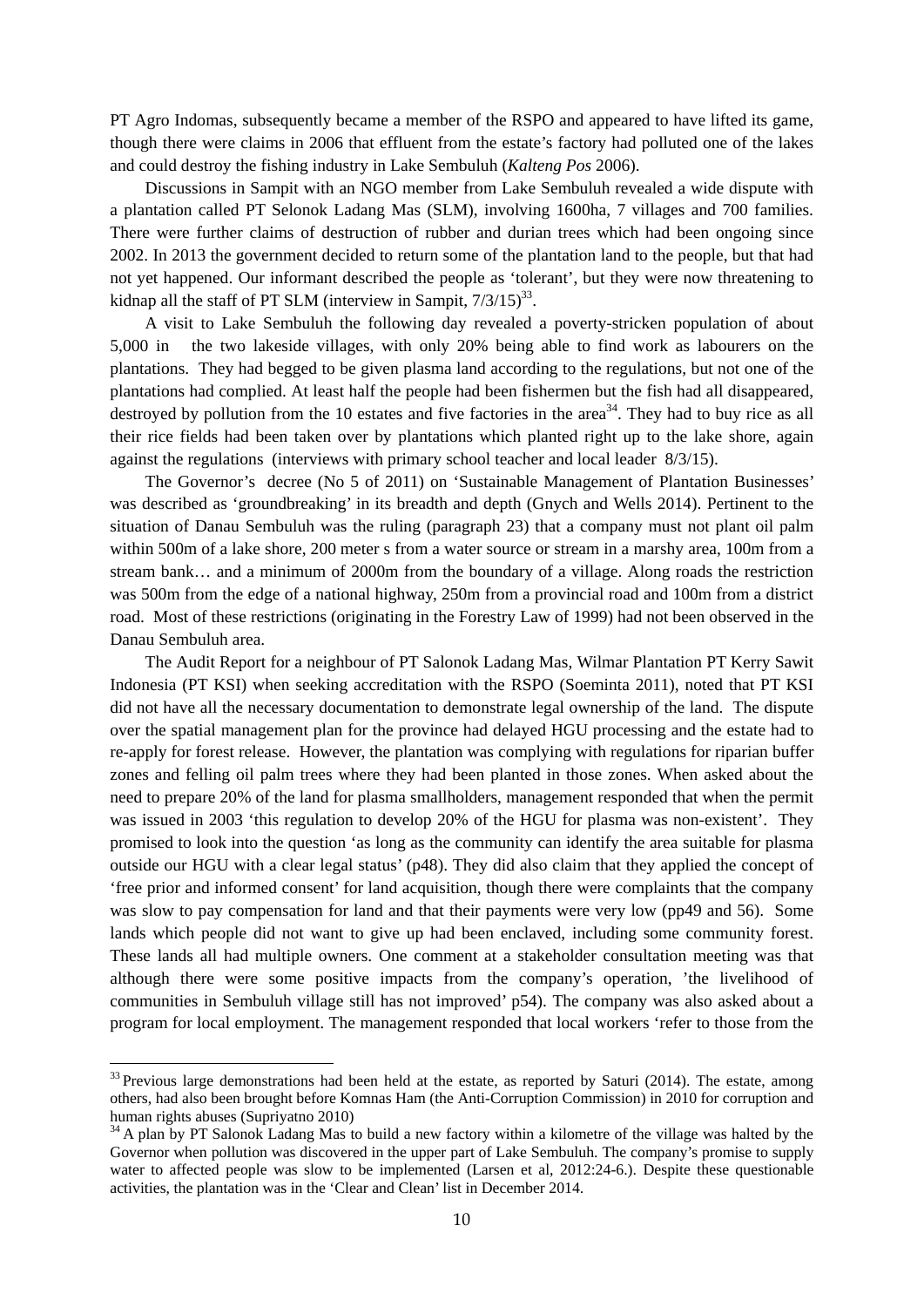PT Agro Indomas, subsequently became a member of the RSPO and appeared to have lifted its game, though there were claims in 2006 that effluent from the estate's factory had polluted one of the lakes and could destroy the fishing industry in Lake Sembuluh (*Kalteng Pos* 2006).

Discussions in Sampit with an NGO member from Lake Sembuluh revealed a wide dispute with a plantation called PT Selonok Ladang Mas (SLM), involving 1600ha, 7 villages and 700 families. There were further claims of destruction of rubber and durian trees which had been ongoing since 2002. In 2013 the government decided to return some of the plantation land to the people, but that had not yet happened. Our informant described the people as 'tolerant', but they were now threatening to kidnap all the staff of PT SLM (interview in Sampit,  $7/3/15$ )<sup>33</sup>.

A visit to Lake Sembuluh the following day revealed a poverty-stricken population of about 5,000 in the two lakeside villages, with only 20% being able to find work as labourers on the plantations. They had begged to be given plasma land according to the regulations, but not one of the plantations had complied. At least half the people had been fishermen but the fish had all disappeared, destroyed by pollution from the 10 estates and five factories in the area<sup>34</sup>. They had to buy rice as all their rice fields had been taken over by plantations which planted right up to the lake shore, again against the regulations (interviews with primary school teacher and local leader 8/3/15).

The Governor's decree (No 5 of 2011) on 'Sustainable Management of Plantation Businesses' was described as 'groundbreaking' in its breadth and depth (Gnych and Wells 2014). Pertinent to the situation of Danau Sembuluh was the ruling (paragraph 23) that a company must not plant oil palm within 500m of a lake shore, 200 meter s from a water source or stream in a marshy area, 100m from a stream bank… and a minimum of 2000m from the boundary of a village. Along roads the restriction was 500m from the edge of a national highway, 250m from a provincial road and 100m from a district road. Most of these restrictions (originating in the Forestry Law of 1999) had not been observed in the Danau Sembuluh area.

The Audit Report for a neighbour of PT Salonok Ladang Mas, Wilmar Plantation PT Kerry Sawit Indonesia (PT KSI) when seeking accreditation with the RSPO (Soeminta 2011), noted that PT KSI did not have all the necessary documentation to demonstrate legal ownership of the land. The dispute over the spatial management plan for the province had delayed HGU processing and the estate had to re-apply for forest release. However, the plantation was complying with regulations for riparian buffer zones and felling oil palm trees where they had been planted in those zones. When asked about the need to prepare 20% of the land for plasma smallholders, management responded that when the permit was issued in 2003 'this regulation to develop 20% of the HGU for plasma was non-existent'. They promised to look into the question 'as long as the community can identify the area suitable for plasma outside our HGU with a clear legal status' (p48). They did also claim that they applied the concept of 'free prior and informed consent' for land acquisition, though there were complaints that the company was slow to pay compensation for land and that their payments were very low (pp49 and 56). Some lands which people did not want to give up had been enclaved, including some community forest. These lands all had multiple owners. One comment at a stakeholder consultation meeting was that although there were some positive impacts from the company's operation, 'the livelihood of communities in Sembuluh village still has not improved' p54). The company was also asked about a program for local employment. The management responded that local workers 'refer to those from the

<sup>&</sup>lt;sup>33</sup> Previous large demonstrations had been held at the estate, as reported by Saturi (2014). The estate, among others, had also been brought before Komnas Ham (the Anti-Corruption Commission) in 2010 for corruption and human rights abuses (Supriyatno 2010)

<sup>&</sup>lt;sup>34</sup> A plan by PT Salonok Ladang Mas to build a new factory within a kilometre of the village was halted by the Governor when pollution was discovered in the upper part of Lake Sembuluh. The company's promise to supply water to affected people was slow to be implemented (Larsen et al, 2012:24-6.). Despite these questionable activities, the plantation was in the 'Clear and Clean' list in December 2014.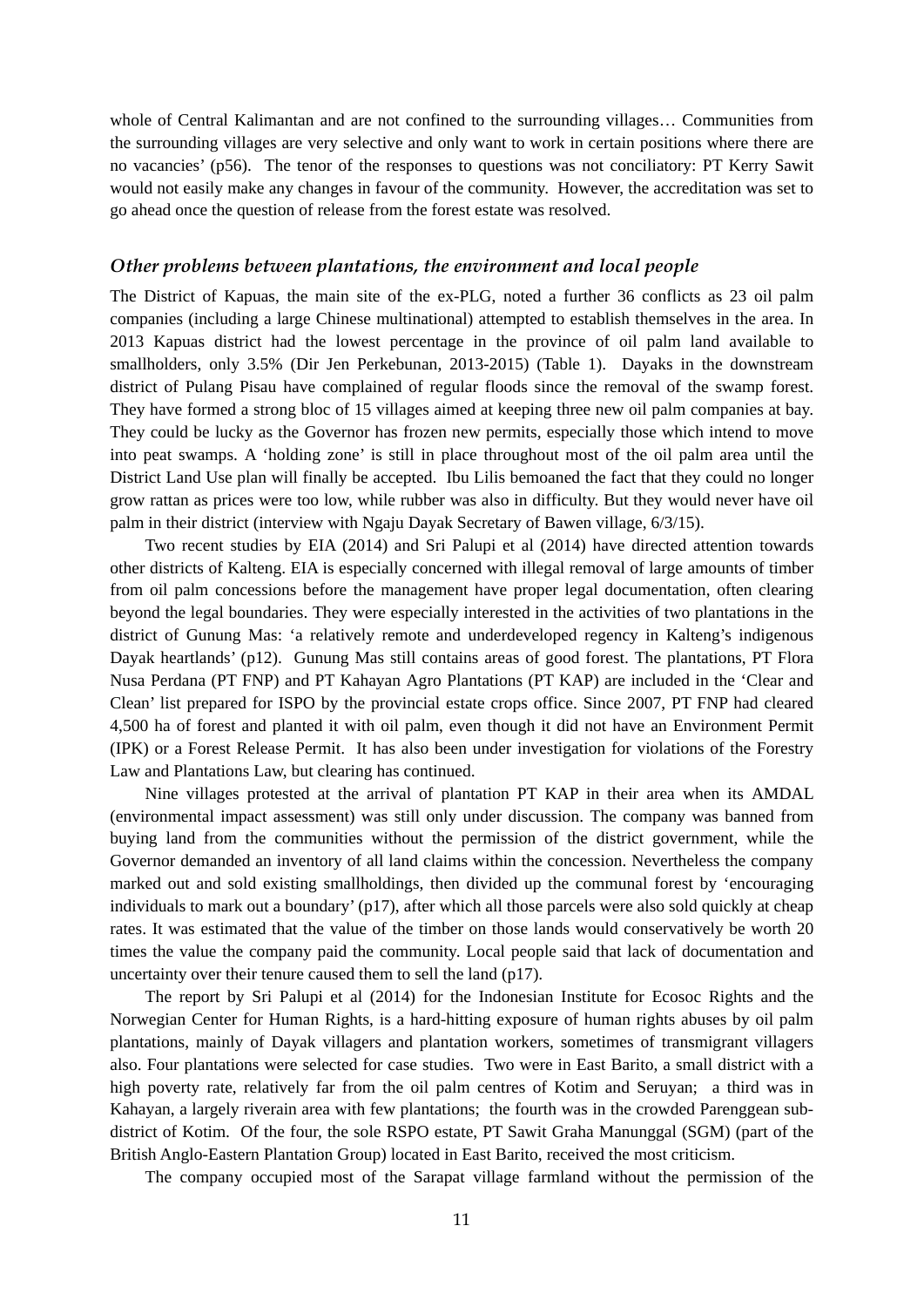whole of Central Kalimantan and are not confined to the surrounding villages… Communities from the surrounding villages are very selective and only want to work in certain positions where there are no vacancies' (p56). The tenor of the responses to questions was not conciliatory: PT Kerry Sawit would not easily make any changes in favour of the community. However, the accreditation was set to go ahead once the question of release from the forest estate was resolved.

#### *Other problems between plantations, the environment and local people*

The District of Kapuas, the main site of the ex-PLG, noted a further 36 conflicts as 23 oil palm companies (including a large Chinese multinational) attempted to establish themselves in the area. In 2013 Kapuas district had the lowest percentage in the province of oil palm land available to smallholders, only 3.5% (Dir Jen Perkebunan, 2013-2015) (Table 1). Dayaks in the downstream district of Pulang Pisau have complained of regular floods since the removal of the swamp forest. They have formed a strong bloc of 15 villages aimed at keeping three new oil palm companies at bay. They could be lucky as the Governor has frozen new permits, especially those which intend to move into peat swamps. A 'holding zone' is still in place throughout most of the oil palm area until the District Land Use plan will finally be accepted. Ibu Lilis bemoaned the fact that they could no longer grow rattan as prices were too low, while rubber was also in difficulty. But they would never have oil palm in their district (interview with Ngaju Dayak Secretary of Bawen village, 6/3/15).

Two recent studies by EIA (2014) and Sri Palupi et al (2014) have directed attention towards other districts of Kalteng. EIA is especially concerned with illegal removal of large amounts of timber from oil palm concessions before the management have proper legal documentation, often clearing beyond the legal boundaries. They were especially interested in the activities of two plantations in the district of Gunung Mas: 'a relatively remote and underdeveloped regency in Kalteng's indigenous Dayak heartlands' (p12). Gunung Mas still contains areas of good forest. The plantations, PT Flora Nusa Perdana (PT FNP) and PT Kahayan Agro Plantations (PT KAP) are included in the 'Clear and Clean' list prepared for ISPO by the provincial estate crops office. Since 2007, PT FNP had cleared 4,500 ha of forest and planted it with oil palm, even though it did not have an Environment Permit (IPK) or a Forest Release Permit. It has also been under investigation for violations of the Forestry Law and Plantations Law, but clearing has continued.

Nine villages protested at the arrival of plantation PT KAP in their area when its AMDAL (environmental impact assessment) was still only under discussion. The company was banned from buying land from the communities without the permission of the district government, while the Governor demanded an inventory of all land claims within the concession. Nevertheless the company marked out and sold existing smallholdings, then divided up the communal forest by 'encouraging individuals to mark out a boundary' (p17), after which all those parcels were also sold quickly at cheap rates. It was estimated that the value of the timber on those lands would conservatively be worth 20 times the value the company paid the community. Local people said that lack of documentation and uncertainty over their tenure caused them to sell the land (p17).

The report by Sri Palupi et al (2014) for the Indonesian Institute for Ecosoc Rights and the Norwegian Center for Human Rights, is a hard-hitting exposure of human rights abuses by oil palm plantations, mainly of Dayak villagers and plantation workers, sometimes of transmigrant villagers also. Four plantations were selected for case studies. Two were in East Barito, a small district with a high poverty rate, relatively far from the oil palm centres of Kotim and Seruyan; a third was in Kahayan, a largely riverain area with few plantations; the fourth was in the crowded Parenggean subdistrict of Kotim. Of the four, the sole RSPO estate, PT Sawit Graha Manunggal (SGM) (part of the British Anglo-Eastern Plantation Group) located in East Barito, received the most criticism.

The company occupied most of the Sarapat village farmland without the permission of the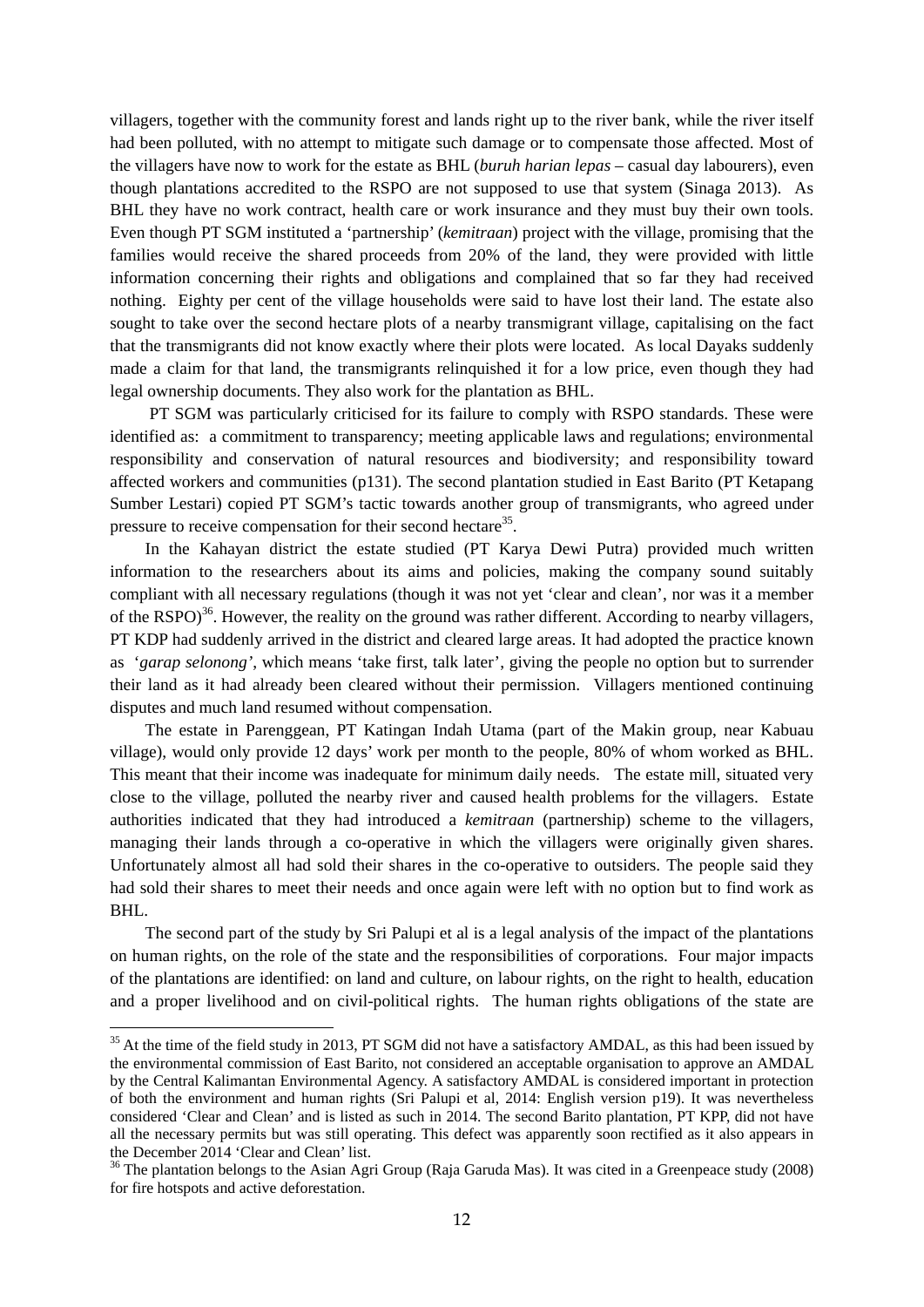villagers, together with the community forest and lands right up to the river bank, while the river itself had been polluted, with no attempt to mitigate such damage or to compensate those affected. Most of the villagers have now to work for the estate as BHL (*buruh harian lepas* – casual day labourers), even though plantations accredited to the RSPO are not supposed to use that system (Sinaga 2013). As BHL they have no work contract, health care or work insurance and they must buy their own tools. Even though PT SGM instituted a 'partnership' (*kemitraan*) project with the village, promising that the families would receive the shared proceeds from 20% of the land, they were provided with little information concerning their rights and obligations and complained that so far they had received nothing. Eighty per cent of the village households were said to have lost their land. The estate also sought to take over the second hectare plots of a nearby transmigrant village, capitalising on the fact that the transmigrants did not know exactly where their plots were located. As local Dayaks suddenly made a claim for that land, the transmigrants relinquished it for a low price, even though they had legal ownership documents. They also work for the plantation as BHL.

 PT SGM was particularly criticised for its failure to comply with RSPO standards. These were identified as: a commitment to transparency; meeting applicable laws and regulations; environmental responsibility and conservation of natural resources and biodiversity; and responsibility toward affected workers and communities (p131). The second plantation studied in East Barito (PT Ketapang Sumber Lestari) copied PT SGM's tactic towards another group of transmigrants, who agreed under pressure to receive compensation for their second hectare<sup>35</sup>.

In the Kahayan district the estate studied (PT Karya Dewi Putra) provided much written information to the researchers about its aims and policies, making the company sound suitably compliant with all necessary regulations (though it was not yet 'clear and clean', nor was it a member of the RSPO $^{36}$ . However, the reality on the ground was rather different. According to nearby villagers, PT KDP had suddenly arrived in the district and cleared large areas. It had adopted the practice known as '*garap selonong'*, which means 'take first, talk later', giving the people no option but to surrender their land as it had already been cleared without their permission. Villagers mentioned continuing disputes and much land resumed without compensation.

The estate in Parenggean, PT Katingan Indah Utama (part of the Makin group, near Kabuau village), would only provide 12 days' work per month to the people, 80% of whom worked as BHL. This meant that their income was inadequate for minimum daily needs. The estate mill, situated very close to the village, polluted the nearby river and caused health problems for the villagers. Estate authorities indicated that they had introduced a *kemitraan* (partnership) scheme to the villagers, managing their lands through a co-operative in which the villagers were originally given shares. Unfortunately almost all had sold their shares in the co-operative to outsiders. The people said they had sold their shares to meet their needs and once again were left with no option but to find work as BHL.

The second part of the study by Sri Palupi et al is a legal analysis of the impact of the plantations on human rights, on the role of the state and the responsibilities of corporations. Four major impacts of the plantations are identified: on land and culture, on labour rights, on the right to health, education and a proper livelihood and on civil-political rights. The human rights obligations of the state are

<sup>&</sup>lt;sup>35</sup> At the time of the field study in 2013, PT SGM did not have a satisfactory AMDAL, as this had been issued by the environmental commission of East Barito, not considered an acceptable organisation to approve an AMDAL by the Central Kalimantan Environmental Agency. A satisfactory AMDAL is considered important in protection of both the environment and human rights (Sri Palupi et al, 2014: English version p19). It was nevertheless considered 'Clear and Clean' and is listed as such in 2014. The second Barito plantation, PT KPP, did not have all the necessary permits but was still operating. This defect was apparently soon rectified as it also appears in the December 2014 'Clear and Clean' list.

<sup>&</sup>lt;sup>36</sup> The plantation belongs to the Asian Agri Group (Raja Garuda Mas). It was cited in a Greenpeace study (2008) for fire hotspots and active deforestation.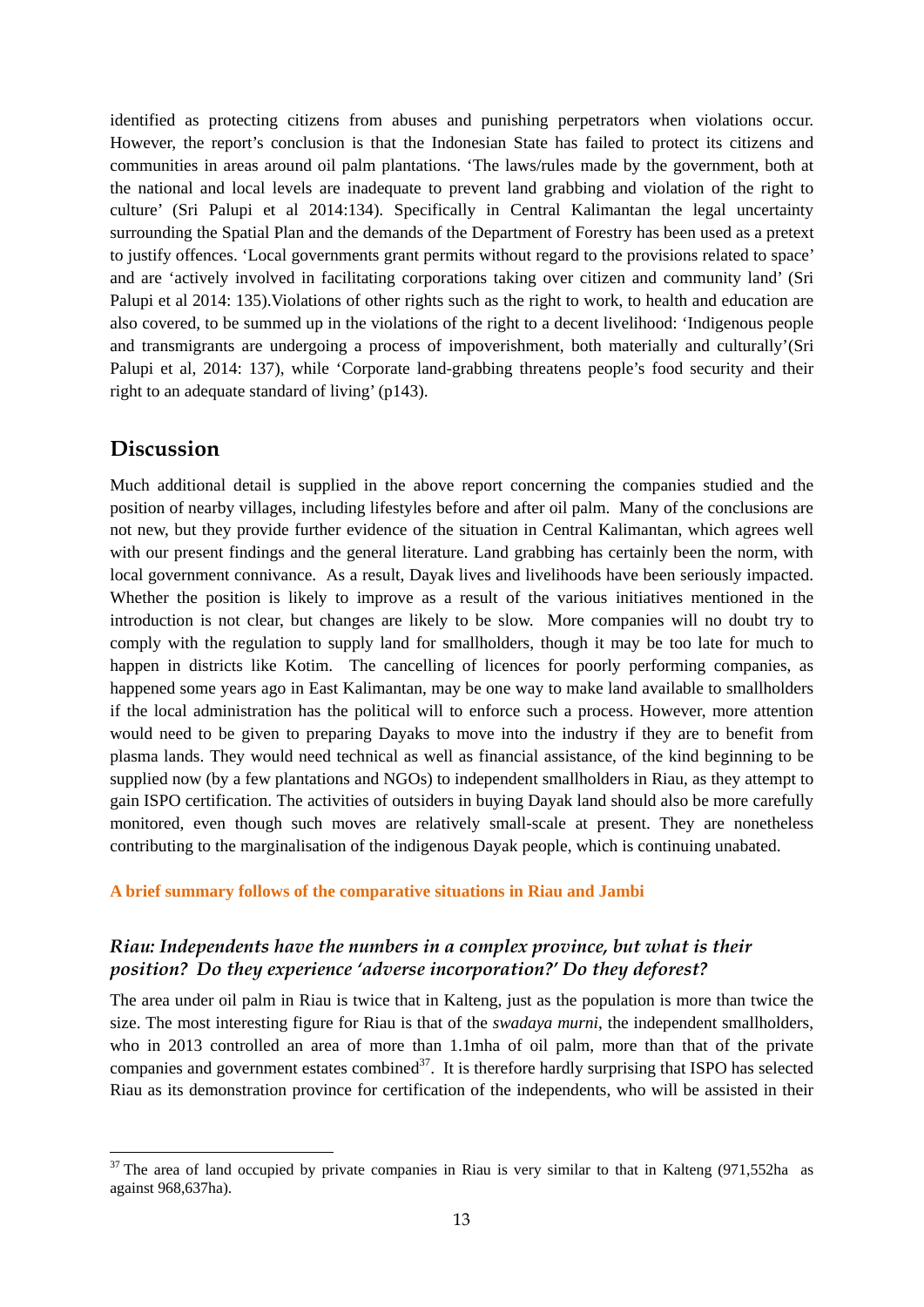identified as protecting citizens from abuses and punishing perpetrators when violations occur. However, the report's conclusion is that the Indonesian State has failed to protect its citizens and communities in areas around oil palm plantations. 'The laws/rules made by the government, both at the national and local levels are inadequate to prevent land grabbing and violation of the right to culture' (Sri Palupi et al 2014:134). Specifically in Central Kalimantan the legal uncertainty surrounding the Spatial Plan and the demands of the Department of Forestry has been used as a pretext to justify offences. 'Local governments grant permits without regard to the provisions related to space' and are 'actively involved in facilitating corporations taking over citizen and community land' (Sri Palupi et al 2014: 135). Violations of other rights such as the right to work, to health and education are also covered, to be summed up in the violations of the right to a decent livelihood: 'Indigenous people and transmigrants are undergoing a process of impoverishment, both materially and culturally'(Sri Palupi et al, 2014: 137), while 'Corporate land-grabbing threatens people's food security and their right to an adequate standard of living' (p143).

### **Discussion**

<u>.</u>

Much additional detail is supplied in the above report concerning the companies studied and the position of nearby villages, including lifestyles before and after oil palm. Many of the conclusions are not new, but they provide further evidence of the situation in Central Kalimantan, which agrees well with our present findings and the general literature. Land grabbing has certainly been the norm, with local government connivance. As a result, Dayak lives and livelihoods have been seriously impacted. Whether the position is likely to improve as a result of the various initiatives mentioned in the introduction is not clear, but changes are likely to be slow. More companies will no doubt try to comply with the regulation to supply land for smallholders, though it may be too late for much to happen in districts like Kotim. The cancelling of licences for poorly performing companies, as happened some years ago in East Kalimantan, may be one way to make land available to smallholders if the local administration has the political will to enforce such a process. However, more attention would need to be given to preparing Dayaks to move into the industry if they are to benefit from plasma lands. They would need technical as well as financial assistance, of the kind beginning to be supplied now (by a few plantations and NGOs) to independent smallholders in Riau, as they attempt to gain ISPO certification. The activities of outsiders in buying Dayak land should also be more carefully monitored, even though such moves are relatively small-scale at present. They are nonetheless contributing to the marginalisation of the indigenous Dayak people, which is continuing unabated.

#### **A brief summary follows of the comparative situations in Riau and Jambi**

### *Riau: Independents have the numbers in a complex province, but what is their position? Do they experience 'adverse incorporation?' Do they deforest?*

The area under oil palm in Riau is twice that in Kalteng, just as the population is more than twice the size. The most interesting figure for Riau is that of the *swadaya murni*, the independent smallholders, who in 2013 controlled an area of more than 1.1mha of oil palm, more than that of the private companies and government estates combined<sup>37</sup>. It is therefore hardly surprising that ISPO has selected Riau as its demonstration province for certification of the independents, who will be assisted in their

 $37$  The area of land occupied by private companies in Riau is very similar to that in Kalteng (971,552ha as against 968,637ha).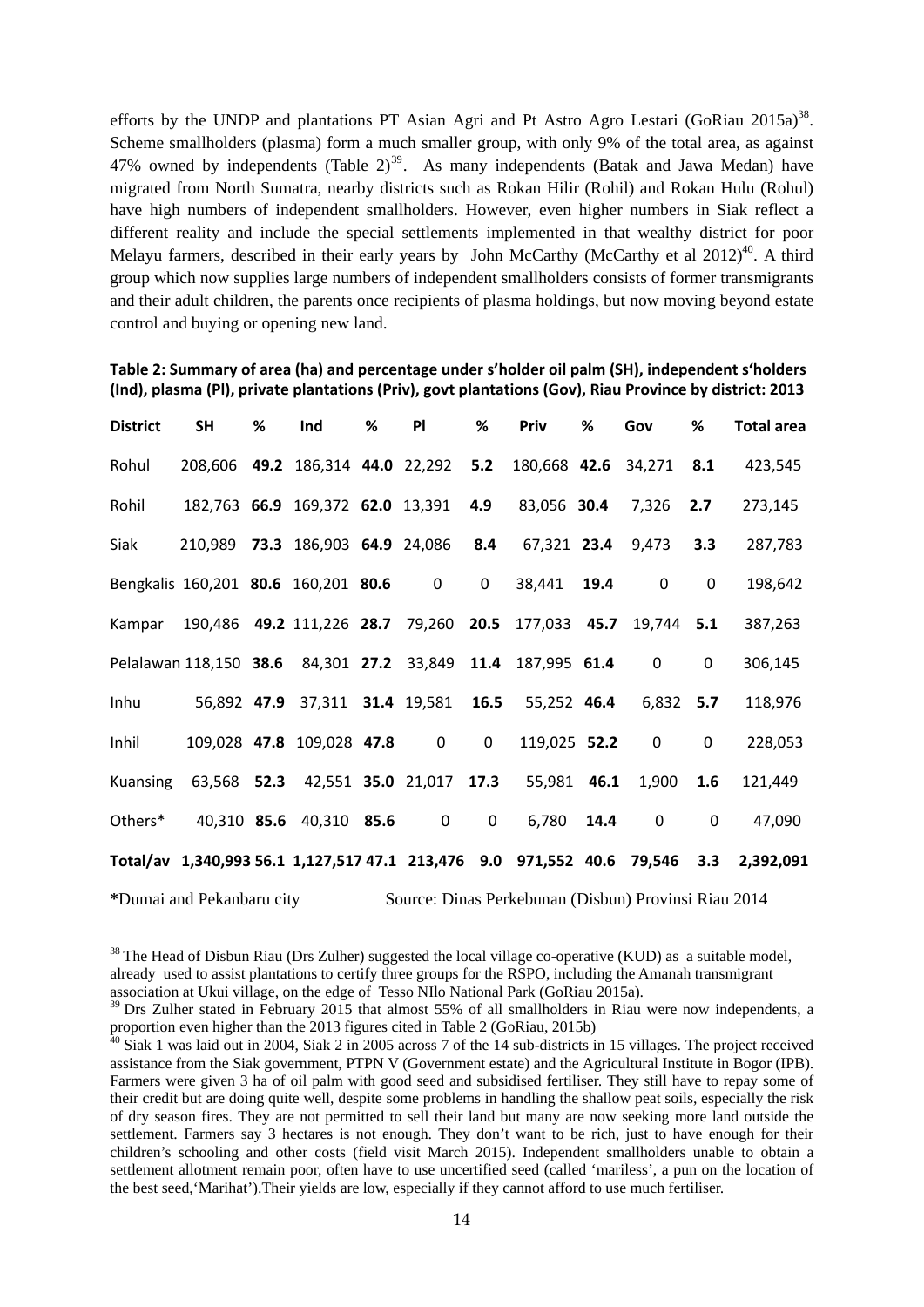efforts by the UNDP and plantations PT Asian Agri and Pt Astro Agro Lestari (GoRiau 2015a)<sup>38</sup>. Scheme smallholders (plasma) form a much smaller group, with only 9% of the total area, as against 47% owned by independents (Table  $2<sup>39</sup>$ . As many independents (Batak and Jawa Medan) have migrated from North Sumatra, nearby districts such as Rokan Hilir (Rohil) and Rokan Hulu (Rohul) have high numbers of independent smallholders. However, even higher numbers in Siak reflect a different reality and include the special settlements implemented in that wealthy district for poor Melayu farmers, described in their early years by John McCarthy (McCarthy et al  $2012)^{40}$ . A third group which now supplies large numbers of independent smallholders consists of former transmigrants and their adult children, the parents once recipients of plasma holdings, but now moving beyond estate control and buying or opening new land.

| <b>District</b>                                                      | <b>SH</b>                                                    | % | Ind                                                       | % | PI | % | Priv          | % | Gov               | %              | Total area                                                                           |  |
|----------------------------------------------------------------------|--------------------------------------------------------------|---|-----------------------------------------------------------|---|----|---|---------------|---|-------------------|----------------|--------------------------------------------------------------------------------------|--|
| Rohul                                                                | 208,606 49.2 186,314 44.0 22,292 5.2 180,668 42.6 34,271 8.1 |   |                                                           |   |    |   |               |   |                   |                | 423,545                                                                              |  |
| Rohil                                                                | 182,763 66.9 169,372 62.0 13,391 4.9 83,056 30.4 7,326 2.7   |   |                                                           |   |    |   |               |   |                   |                | 273,145                                                                              |  |
| Siak                                                                 | 210,989 73.3 186,903 64.9 24,086 8.4 67,321 23.4 9,473 3.3   |   |                                                           |   |    |   |               |   |                   |                | 287,783                                                                              |  |
| Bengkalis 160,201 80.6 160,201 80.6 0                                |                                                              |   |                                                           |   |    |   | 0 38,441 19.4 |   | $\overline{0}$    | $\mathbf 0$    | 198,642                                                                              |  |
| Kampar 190,486 49.2 111,226 28.7 79,260 20.5 177,033 45.7 19,744 5.1 |                                                              |   |                                                           |   |    |   |               |   |                   |                | 387,263                                                                              |  |
| Pelalawan 118,150 38.6 84,301 27.2 33,849 11.4 187,995 61.4 0        |                                                              |   |                                                           |   |    |   |               |   |                   | $\overline{0}$ | 306,145                                                                              |  |
| Inhu                                                                 |                                                              |   | 56,892 47.9 37,311 31.4 19,581 16.5 55,252 46.4 6,832 5.7 |   |    |   |               |   |                   |                | 118,976                                                                              |  |
| Inhil                                                                |                                                              |   | 109,028 47.8 109,028 47.8 0 0                             |   |    |   |               |   | 119,025 52.2 0    | $\mathbf{0}$   | 228,053                                                                              |  |
| Kuansing                                                             |                                                              |   | 63,568 52.3 42,551 35.0 21,017 17.3 55,981 46.1 1,900 1.6 |   |    |   |               |   |                   |                | 121,449                                                                              |  |
| Others* 40,310 85.6 40,310 85.6 0 0                                  |                                                              |   |                                                           |   |    |   | 6,780 14.4    |   | $0 \qquad \qquad$ | $\mathbf{0}$   | 47,090                                                                               |  |
|                                                                      |                                                              |   |                                                           |   |    |   |               |   |                   |                | Total/av 1,340,993 56.1 1,127,517 47.1 213,476 9.0 971,552 40.6 79,546 3.3 2,392,091 |  |

**Table 2: Summary of area (ha) and percentage under s'holder oil palm (SH), independent s'holders (Ind), plasma (Pl), private plantations (Priv), govt plantations (Gov), Riau Province by district: 2013**

**\***Dumai and Pekanbaru city Source: Dinas Perkebunan (Disbun) Provinsi Riau 2014

<u>.</u>

 $38$  The Head of Disbun Riau (Drs Zulher) suggested the local village co-operative (KUD) as a suitable model, already used to assist plantations to certify three groups for the RSPO, including the Amanah transmigrant association at Ukui village, on the edge of Tesso NIlo National Park (GoRiau 2015a).

<sup>&</sup>lt;sup>39</sup> Drs Zulher stated in February 2015 that almost 55% of all smallholders in Riau were now independents, a proportion even higher than the 2013 figures cited in Table 2 (GoRiau, 2015b)

 $40$  Siak 1 was laid out in 2004, Siak 2 in 2005 across 7 of the 14 sub-districts in 15 villages. The project received assistance from the Siak government, PTPN V (Government estate) and the Agricultural Institute in Bogor (IPB). Farmers were given 3 ha of oil palm with good seed and subsidised fertiliser. They still have to repay some of their credit but are doing quite well, despite some problems in handling the shallow peat soils, especially the risk of dry season fires. They are not permitted to sell their land but many are now seeking more land outside the settlement. Farmers say 3 hectares is not enough. They don't want to be rich, just to have enough for their children's schooling and other costs (field visit March 2015). Independent smallholders unable to obtain a settlement allotment remain poor, often have to use uncertified seed (called 'mariless', a pun on the location of the best seed,'Marihat').Their yields are low, especially if they cannot afford to use much fertiliser.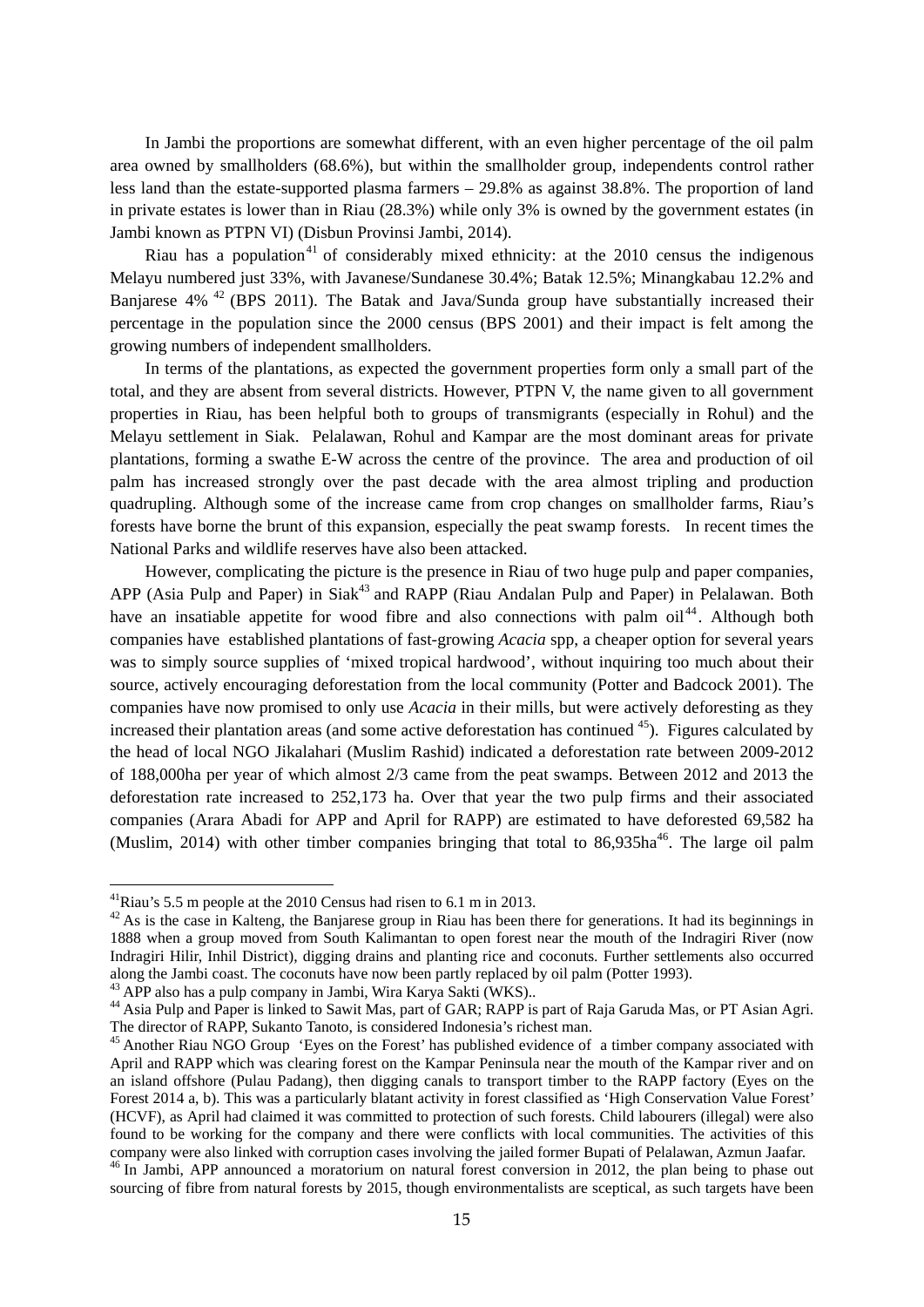In Jambi the proportions are somewhat different, with an even higher percentage of the oil palm area owned by smallholders (68.6%), but within the smallholder group, independents control rather less land than the estate-supported plasma farmers – 29.8% as against 38.8%. The proportion of land in private estates is lower than in Riau (28.3%) while only 3% is owned by the government estates (in Jambi known as PTPN VI) (Disbun Provinsi Jambi, 2014).

Riau has a population<sup>41</sup> of considerably mixed ethnicity: at the  $2010$  census the indigenous Melayu numbered just 33%, with Javanese/Sundanese 30.4%; Batak 12.5%; Minangkabau 12.2% and Banjarese  $4\%$ <sup>42</sup> (BPS 2011). The Batak and Java/Sunda group have substantially increased their percentage in the population since the 2000 census (BPS 2001) and their impact is felt among the growing numbers of independent smallholders.

In terms of the plantations, as expected the government properties form only a small part of the total, and they are absent from several districts. However, PTPN V, the name given to all government properties in Riau, has been helpful both to groups of transmigrants (especially in Rohul) and the Melayu settlement in Siak. Pelalawan, Rohul and Kampar are the most dominant areas for private plantations, forming a swathe E-W across the centre of the province. The area and production of oil palm has increased strongly over the past decade with the area almost tripling and production quadrupling. Although some of the increase came from crop changes on smallholder farms, Riau's forests have borne the brunt of this expansion, especially the peat swamp forests. In recent times the National Parks and wildlife reserves have also been attacked.

However, complicating the picture is the presence in Riau of two huge pulp and paper companies, APP (Asia Pulp and Paper) in Siak<sup>43</sup> and RAPP (Riau Andalan Pulp and Paper) in Pelalawan. Both have an insatiable appetite for wood fibre and also connections with palm oil<sup>44</sup>. Although both companies have established plantations of fast-growing *Acacia* spp, a cheaper option for several years was to simply source supplies of 'mixed tropical hardwood', without inquiring too much about their source, actively encouraging deforestation from the local community (Potter and Badcock 2001). The companies have now promised to only use *Acacia* in their mills, but were actively deforesting as they increased their plantation areas (and some active deforestation has continued  $45$ ). Figures calculated by the head of local NGO Jikalahari (Muslim Rashid) indicated a deforestation rate between 2009-2012 of 188,000ha per year of which almost 2/3 came from the peat swamps. Between 2012 and 2013 the deforestation rate increased to 252,173 ha. Over that year the two pulp firms and their associated companies (Arara Abadi for APP and April for RAPP) are estimated to have deforested 69,582 ha (Muslim, 2014) with other timber companies bringing that total to  $86.935$ ha<sup>46</sup>. The large oil palm

<u>.</u>

<sup>41</sup>Riau's 5.5 m people at the 2010 Census had risen to 6.1 m in 2013.

 $42$  As is the case in Kalteng, the Banjarese group in Riau has been there for generations. It had its beginnings in 1888 when a group moved from South Kalimantan to open forest near the mouth of the Indragiri River (now Indragiri Hilir, Inhil District), digging drains and planting rice and coconuts. Further settlements also occurred along the Jambi coast. The coconuts have now been partly replaced by oil palm (Potter 1993). 43 APP also has a pulp company in Jambi, Wira Karya Sakti (WKS)..

<sup>&</sup>lt;sup>44</sup> Asia Pulp and Paper is linked to Sawit Mas, part of GAR; RAPP is part of Raja Garuda Mas, or PT Asian Agri. The director of RAPP, Sukanto Tanoto, is considered Indonesia's richest man.

<sup>&</sup>lt;sup>45</sup> Another Riau NGO Group 'Eyes on the Forest' has published evidence of a timber company associated with April and RAPP which was clearing forest on the Kampar Peninsula near the mouth of the Kampar river and on an island offshore (Pulau Padang), then digging canals to transport timber to the RAPP factory (Eyes on the Forest 2014 a, b). This was a particularly blatant activity in forest classified as 'High Conservation Value Forest' (HCVF), as April had claimed it was committed to protection of such forests. Child labourers (illegal) were also found to be working for the company and there were conflicts with local communities. The activities of this company were also linked with corruption cases involving the jailed former Bupati of Pelalawan, Azmun Jaafar. 46 In Jambi, APP announced a moratorium on natural forest conversion in 2012, the plan being to phase out

sourcing of fibre from natural forests by 2015, though environmentalists are sceptical, as such targets have been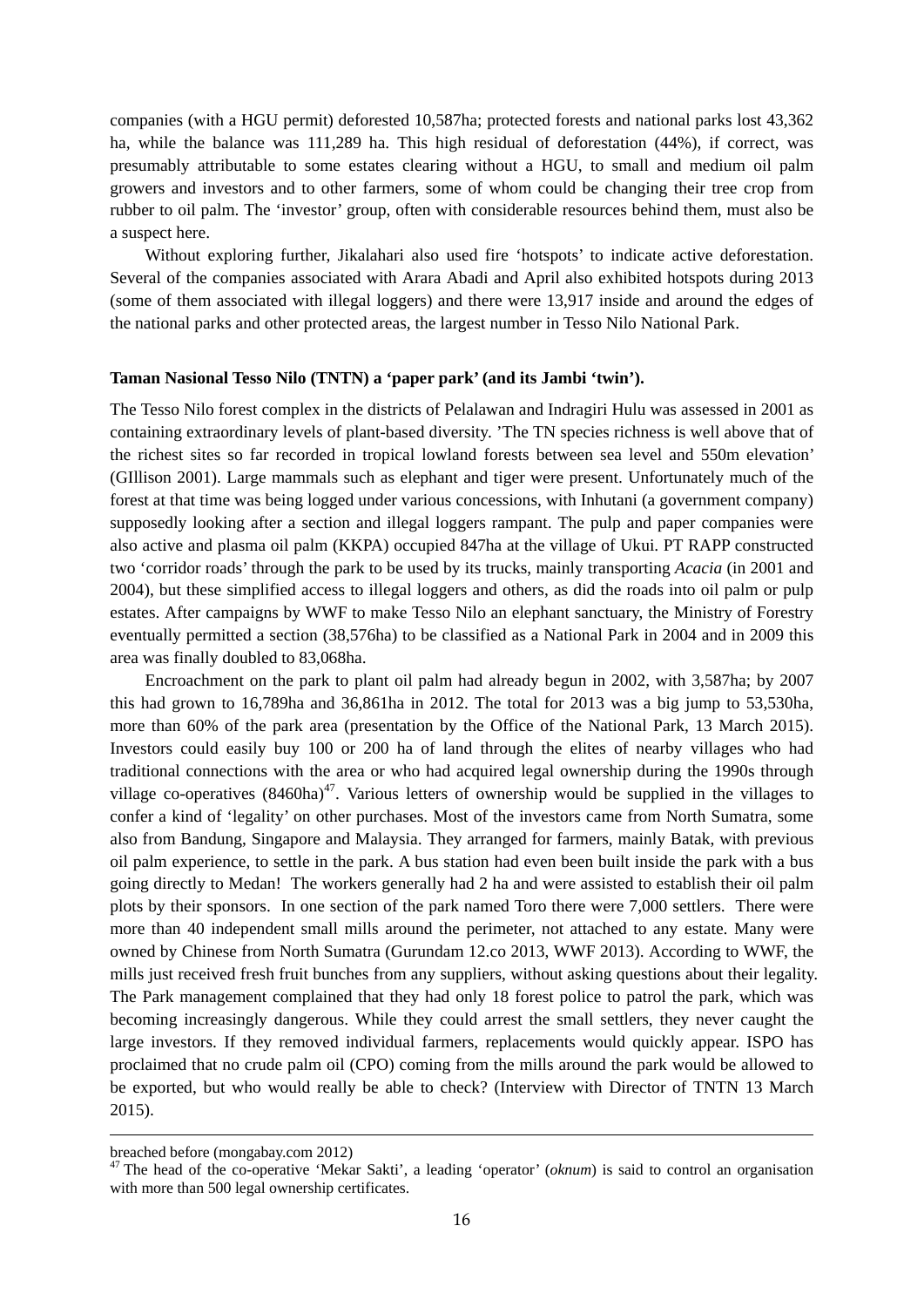companies (with a HGU permit) deforested 10,587ha; protected forests and national parks lost 43,362 ha, while the balance was 111,289 ha. This high residual of deforestation (44%), if correct, was presumably attributable to some estates clearing without a HGU, to small and medium oil palm growers and investors and to other farmers, some of whom could be changing their tree crop from rubber to oil palm. The 'investor' group, often with considerable resources behind them, must also be a suspect here.

Without exploring further, Jikalahari also used fire 'hotspots' to indicate active deforestation. Several of the companies associated with Arara Abadi and April also exhibited hotspots during 2013 (some of them associated with illegal loggers) and there were 13,917 inside and around the edges of the national parks and other protected areas, the largest number in Tesso Nilo National Park.

#### **Taman Nasional Tesso Nilo (TNTN) a 'paper park' (and its Jambi 'twin').**

The Tesso Nilo forest complex in the districts of Pelalawan and Indragiri Hulu was assessed in 2001 as containing extraordinary levels of plant-based diversity. 'The TN species richness is well above that of the richest sites so far recorded in tropical lowland forests between sea level and 550m elevation' (GIllison 2001). Large mammals such as elephant and tiger were present. Unfortunately much of the forest at that time was being logged under various concessions, with Inhutani (a government company) supposedly looking after a section and illegal loggers rampant. The pulp and paper companies were also active and plasma oil palm (KKPA) occupied 847ha at the village of Ukui. PT RAPP constructed two 'corridor roads' through the park to be used by its trucks, mainly transporting *Acacia* (in 2001 and 2004), but these simplified access to illegal loggers and others, as did the roads into oil palm or pulp estates. After campaigns by WWF to make Tesso Nilo an elephant sanctuary, the Ministry of Forestry eventually permitted a section (38,576ha) to be classified as a National Park in 2004 and in 2009 this area was finally doubled to 83,068ha.

Encroachment on the park to plant oil palm had already begun in 2002, with 3,587ha; by 2007 this had grown to 16,789ha and 36,861ha in 2012. The total for 2013 was a big jump to 53,530ha, more than 60% of the park area (presentation by the Office of the National Park, 13 March 2015). Investors could easily buy 100 or 200 ha of land through the elites of nearby villages who had traditional connections with the area or who had acquired legal ownership during the 1990s through village co-operatives  $(8460ha)^{47}$ . Various letters of ownership would be supplied in the villages to confer a kind of 'legality' on other purchases. Most of the investors came from North Sumatra, some also from Bandung, Singapore and Malaysia. They arranged for farmers, mainly Batak, with previous oil palm experience, to settle in the park. A bus station had even been built inside the park with a bus going directly to Medan! The workers generally had 2 ha and were assisted to establish their oil palm plots by their sponsors. In one section of the park named Toro there were 7,000 settlers. There were more than 40 independent small mills around the perimeter, not attached to any estate. Many were owned by Chinese from North Sumatra (Gurundam 12.co 2013, WWF 2013). According to WWF, the mills just received fresh fruit bunches from any suppliers, without asking questions about their legality. The Park management complained that they had only 18 forest police to patrol the park, which was becoming increasingly dangerous. While they could arrest the small settlers, they never caught the large investors. If they removed individual farmers, replacements would quickly appear. ISPO has proclaimed that no crude palm oil (CPO) coming from the mills around the park would be allowed to be exported, but who would really be able to check? (Interview with Director of TNTN 13 March 2015).

breached before (mongabay.com 2012)

<sup>&</sup>lt;sup>47</sup> The head of the co-operative 'Mekar Sakti', a leading 'operator' (*oknum*) is said to control an organisation with more than 500 legal ownership certificates.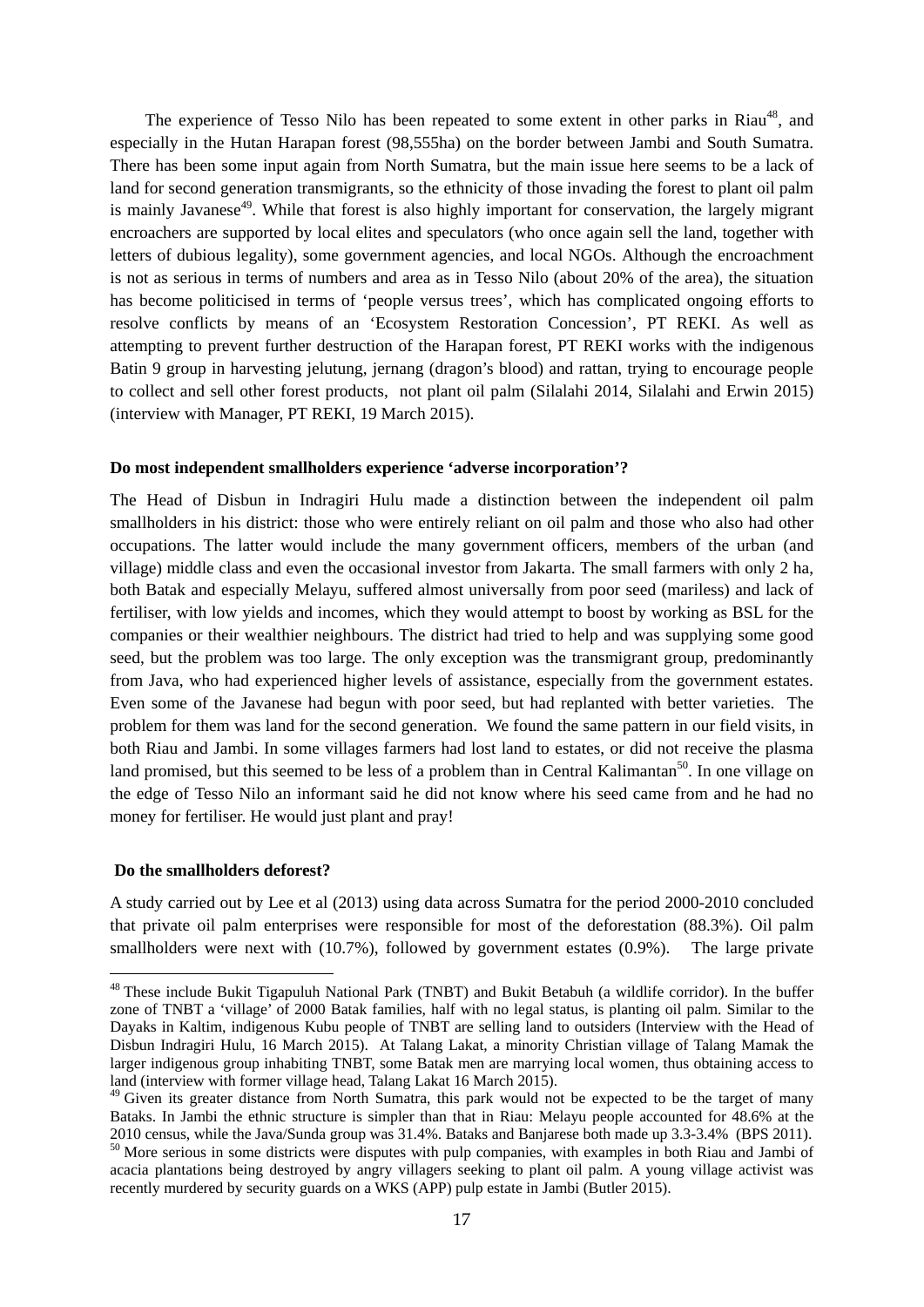The experience of Tesso Nilo has been repeated to some extent in other parks in Riau<sup>48</sup>, and especially in the Hutan Harapan forest (98,555ha) on the border between Jambi and South Sumatra. There has been some input again from North Sumatra, but the main issue here seems to be a lack of land for second generation transmigrants, so the ethnicity of those invading the forest to plant oil palm is mainly Javanese<sup>49</sup>. While that forest is also highly important for conservation, the largely migrant encroachers are supported by local elites and speculators (who once again sell the land, together with letters of dubious legality), some government agencies, and local NGOs. Although the encroachment is not as serious in terms of numbers and area as in Tesso Nilo (about 20% of the area), the situation has become politicised in terms of 'people versus trees', which has complicated ongoing efforts to resolve conflicts by means of an 'Ecosystem Restoration Concession', PT REKI. As well as attempting to prevent further destruction of the Harapan forest, PT REKI works with the indigenous Batin 9 group in harvesting jelutung, jernang (dragon's blood) and rattan, trying to encourage people to collect and sell other forest products, not plant oil palm (Silalahi 2014, Silalahi and Erwin 2015) (interview with Manager, PT REKI, 19 March 2015).

#### **Do most independent smallholders experience 'adverse incorporation'?**

The Head of Disbun in Indragiri Hulu made a distinction between the independent oil palm smallholders in his district: those who were entirely reliant on oil palm and those who also had other occupations. The latter would include the many government officers, members of the urban (and village) middle class and even the occasional investor from Jakarta. The small farmers with only 2 ha, both Batak and especially Melayu, suffered almost universally from poor seed (mariless) and lack of fertiliser, with low yields and incomes, which they would attempt to boost by working as BSL for the companies or their wealthier neighbours. The district had tried to help and was supplying some good seed, but the problem was too large. The only exception was the transmigrant group, predominantly from Java, who had experienced higher levels of assistance, especially from the government estates. Even some of the Javanese had begun with poor seed, but had replanted with better varieties. The problem for them was land for the second generation. We found the same pattern in our field visits, in both Riau and Jambi. In some villages farmers had lost land to estates, or did not receive the plasma land promised, but this seemed to be less of a problem than in Central Kalimantan<sup>50</sup>. In one village on the edge of Tesso Nilo an informant said he did not know where his seed came from and he had no money for fertiliser. He would just plant and pray!

#### **Do the smallholders deforest?**

1

A study carried out by Lee et al (2013) using data across Sumatra for the period 2000-2010 concluded that private oil palm enterprises were responsible for most of the deforestation (88.3%). Oil palm smallholders were next with (10.7%), followed by government estates (0.9%). The large private

<sup>&</sup>lt;sup>48</sup> These include Bukit Tigapuluh National Park (TNBT) and Bukit Betabuh (a wildlife corridor). In the buffer zone of TNBT a 'village' of 2000 Batak families, half with no legal status, is planting oil palm. Similar to the Dayaks in Kaltim, indigenous Kubu people of TNBT are selling land to outsiders (Interview with the Head of Disbun Indragiri Hulu, 16 March 2015). At Talang Lakat, a minority Christian village of Talang Mamak the larger indigenous group inhabiting TNBT, some Batak men are marrying local women, thus obtaining access to land (interview with former village head, Talang Lakat 16 March 2015).

<sup>&</sup>lt;sup>49</sup> Given its greater distance from North Sumatra, this park would not be expected to be the target of many Bataks. In Jambi the ethnic structure is simpler than that in Riau: Melayu people accounted for 48.6% at the 2010 census, while the Java/Sunda group was 31.4%. Bataks and Banjarese both made up 3.3-3.4% (BPS 2011).

<sup>&</sup>lt;sup>50</sup> More serious in some districts were disputes with pulp companies, with examples in both Riau and Jambi of acacia plantations being destroyed by angry villagers seeking to plant oil palm. A young village activist was recently murdered by security guards on a WKS (APP) pulp estate in Jambi (Butler 2015).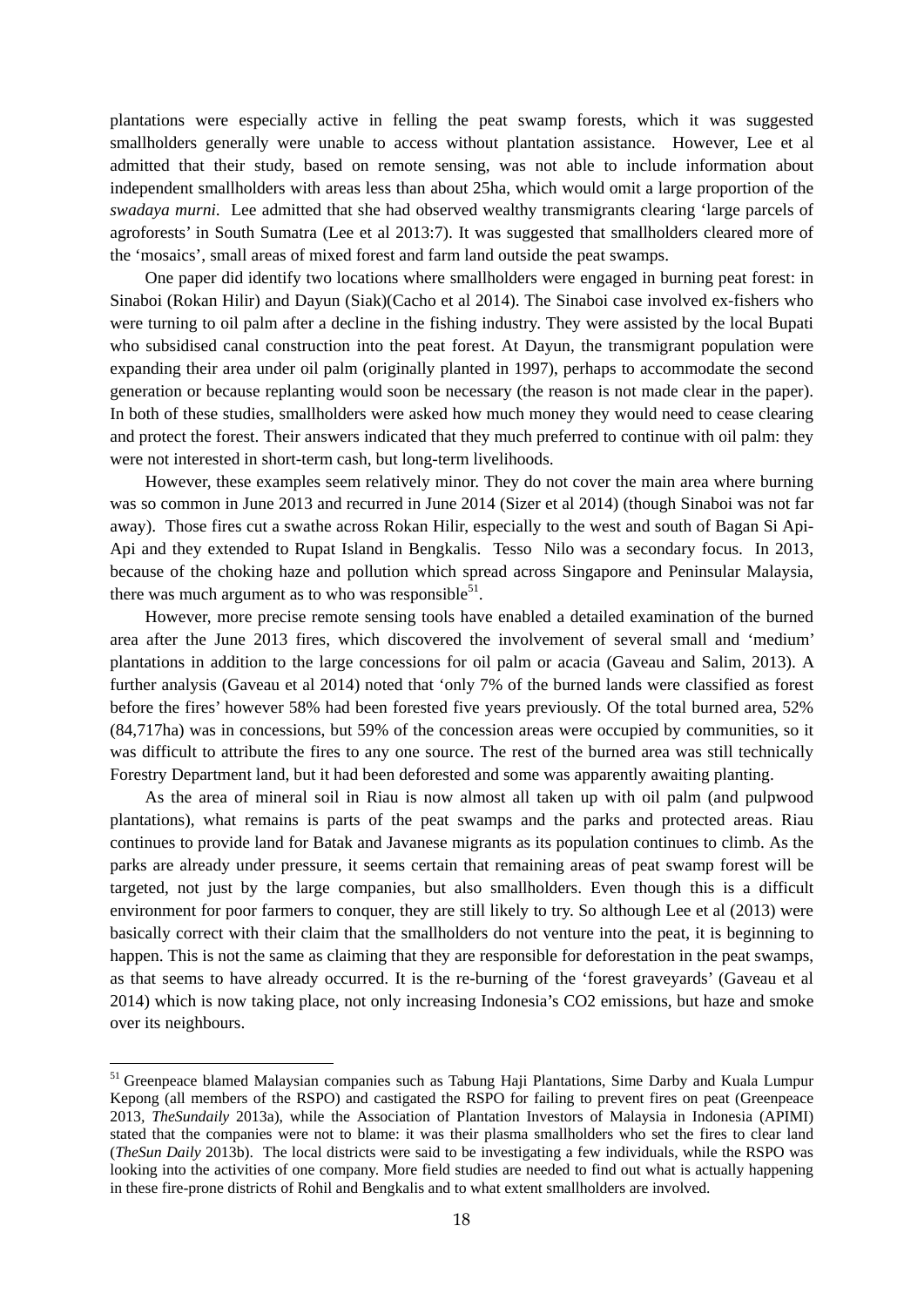plantations were especially active in felling the peat swamp forests, which it was suggested smallholders generally were unable to access without plantation assistance. However, Lee et al admitted that their study, based on remote sensing, was not able to include information about independent smallholders with areas less than about 25ha, which would omit a large proportion of the *swadaya murni*. Lee admitted that she had observed wealthy transmigrants clearing 'large parcels of agroforests' in South Sumatra (Lee et al 2013:7). It was suggested that smallholders cleared more of the 'mosaics', small areas of mixed forest and farm land outside the peat swamps.

One paper did identify two locations where smallholders were engaged in burning peat forest: in Sinaboi (Rokan Hilir) and Dayun (Siak)(Cacho et al 2014). The Sinaboi case involved ex-fishers who were turning to oil palm after a decline in the fishing industry. They were assisted by the local Bupati who subsidised canal construction into the peat forest. At Dayun, the transmigrant population were expanding their area under oil palm (originally planted in 1997), perhaps to accommodate the second generation or because replanting would soon be necessary (the reason is not made clear in the paper). In both of these studies, smallholders were asked how much money they would need to cease clearing and protect the forest. Their answers indicated that they much preferred to continue with oil palm: they were not interested in short-term cash, but long-term livelihoods.

However, these examples seem relatively minor. They do not cover the main area where burning was so common in June 2013 and recurred in June 2014 (Sizer et al 2014) (though Sinaboi was not far away). Those fires cut a swathe across Rokan Hilir, especially to the west and south of Bagan Si Api-Api and they extended to Rupat Island in Bengkalis. Tesso Nilo was a secondary focus. In 2013, because of the choking haze and pollution which spread across Singapore and Peninsular Malaysia, there was much argument as to who was responsible $5^1$ .

However, more precise remote sensing tools have enabled a detailed examination of the burned area after the June 2013 fires, which discovered the involvement of several small and 'medium' plantations in addition to the large concessions for oil palm or acacia (Gaveau and Salim, 2013). A further analysis (Gaveau et al 2014) noted that 'only 7% of the burned lands were classified as forest before the fires' however 58% had been forested five years previously. Of the total burned area, 52% (84,717ha) was in concessions, but 59% of the concession areas were occupied by communities, so it was difficult to attribute the fires to any one source. The rest of the burned area was still technically Forestry Department land, but it had been deforested and some was apparently awaiting planting.

As the area of mineral soil in Riau is now almost all taken up with oil palm (and pulpwood plantations), what remains is parts of the peat swamps and the parks and protected areas. Riau continues to provide land for Batak and Javanese migrants as its population continues to climb. As the parks are already under pressure, it seems certain that remaining areas of peat swamp forest will be targeted, not just by the large companies, but also smallholders. Even though this is a difficult environment for poor farmers to conquer, they are still likely to try. So although Lee et al (2013) were basically correct with their claim that the smallholders do not venture into the peat, it is beginning to happen. This is not the same as claiming that they are responsible for deforestation in the peat swamps, as that seems to have already occurred. It is the re-burning of the 'forest graveyards' (Gaveau et al 2014) which is now taking place, not only increasing Indonesia's CO2 emissions, but haze and smoke over its neighbours.

<sup>&</sup>lt;sup>51</sup> Greenpeace blamed Malaysian companies such as Tabung Haji Plantations, Sime Darby and Kuala Lumpur Kepong (all members of the RSPO) and castigated the RSPO for failing to prevent fires on peat (Greenpeace 2013*, TheSundaily* 2013a), while the Association of Plantation Investors of Malaysia in Indonesia (APIMI) stated that the companies were not to blame: it was their plasma smallholders who set the fires to clear land (*TheSun Daily* 2013b). The local districts were said to be investigating a few individuals, while the RSPO was looking into the activities of one company. More field studies are needed to find out what is actually happening in these fire-prone districts of Rohil and Bengkalis and to what extent smallholders are involved.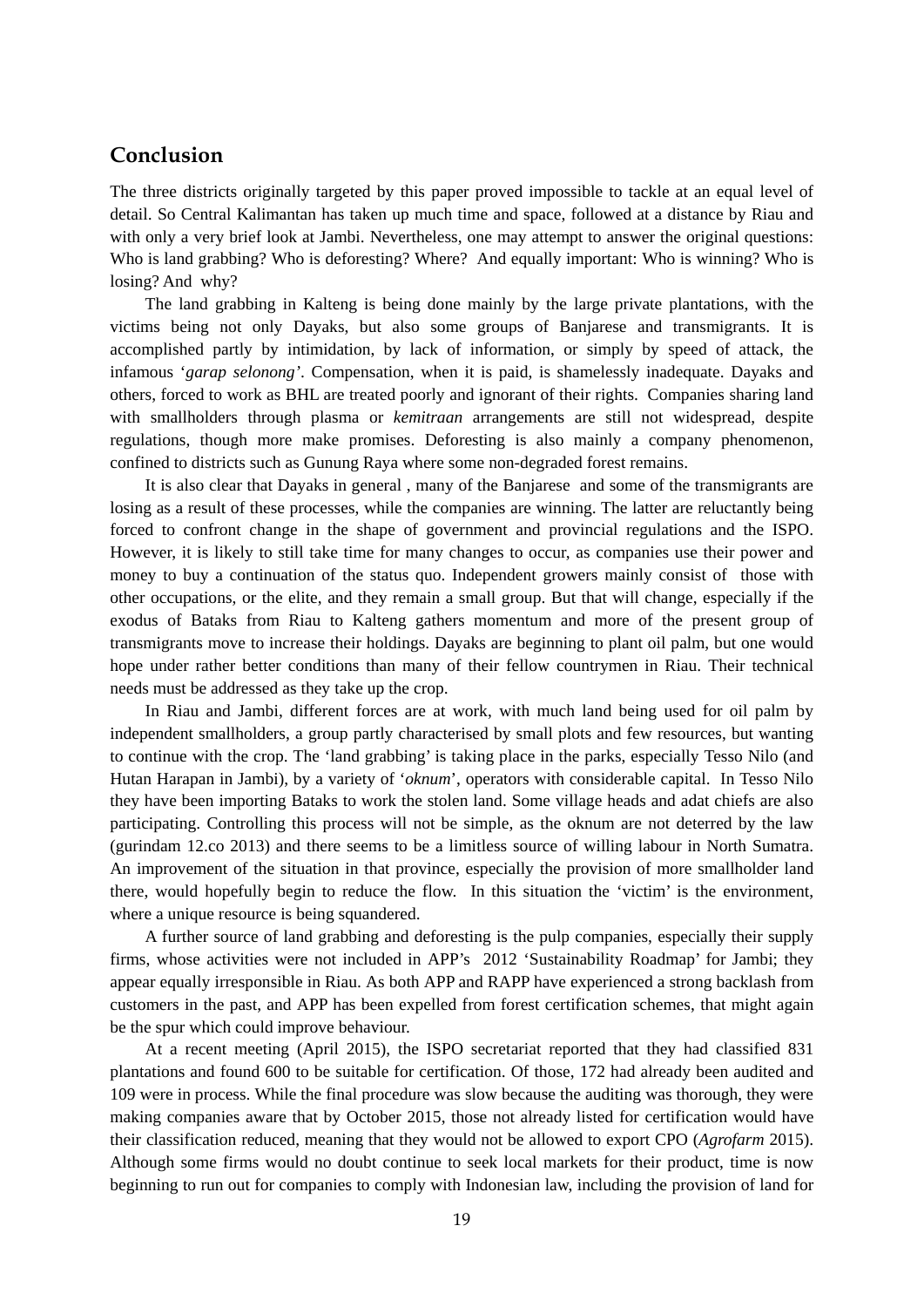### **Conclusion**

The three districts originally targeted by this paper proved impossible to tackle at an equal level of detail. So Central Kalimantan has taken up much time and space, followed at a distance by Riau and with only a very brief look at Jambi. Nevertheless, one may attempt to answer the original questions: Who is land grabbing? Who is deforesting? Where? And equally important: Who is winning? Who is losing? And why?

The land grabbing in Kalteng is being done mainly by the large private plantations, with the victims being not only Dayaks, but also some groups of Banjarese and transmigrants. It is accomplished partly by intimidation, by lack of information, or simply by speed of attack, the infamous '*garap selonong'*. Compensation, when it is paid, is shamelessly inadequate. Dayaks and others, forced to work as BHL are treated poorly and ignorant of their rights. Companies sharing land with smallholders through plasma or *kemitraan* arrangements are still not widespread, despite regulations, though more make promises. Deforesting is also mainly a company phenomenon, confined to districts such as Gunung Raya where some non-degraded forest remains.

It is also clear that Dayaks in general , many of the Banjarese and some of the transmigrants are losing as a result of these processes, while the companies are winning. The latter are reluctantly being forced to confront change in the shape of government and provincial regulations and the ISPO. However, it is likely to still take time for many changes to occur, as companies use their power and money to buy a continuation of the status quo. Independent growers mainly consist of those with other occupations, or the elite, and they remain a small group. But that will change, especially if the exodus of Bataks from Riau to Kalteng gathers momentum and more of the present group of transmigrants move to increase their holdings. Dayaks are beginning to plant oil palm, but one would hope under rather better conditions than many of their fellow countrymen in Riau. Their technical needs must be addressed as they take up the crop.

In Riau and Jambi, different forces are at work, with much land being used for oil palm by independent smallholders, a group partly characterised by small plots and few resources, but wanting to continue with the crop. The 'land grabbing' is taking place in the parks, especially Tesso Nilo (and Hutan Harapan in Jambi), by a variety of '*oknum*', operators with considerable capital. In Tesso Nilo they have been importing Bataks to work the stolen land. Some village heads and adat chiefs are also participating. Controlling this process will not be simple, as the oknum are not deterred by the law (gurindam 12.co 2013) and there seems to be a limitless source of willing labour in North Sumatra. An improvement of the situation in that province, especially the provision of more smallholder land there, would hopefully begin to reduce the flow. In this situation the 'victim' is the environment, where a unique resource is being squandered.

A further source of land grabbing and deforesting is the pulp companies, especially their supply firms, whose activities were not included in APP's 2012 'Sustainability Roadmap' for Jambi; they appear equally irresponsible in Riau. As both APP and RAPP have experienced a strong backlash from customers in the past, and APP has been expelled from forest certification schemes, that might again be the spur which could improve behaviour.

At a recent meeting (April 2015), the ISPO secretariat reported that they had classified 831 plantations and found 600 to be suitable for certification. Of those, 172 had already been audited and 109 were in process. While the final procedure was slow because the auditing was thorough, they were making companies aware that by October 2015, those not already listed for certification would have their classification reduced, meaning that they would not be allowed to export CPO (*Agrofarm* 2015). Although some firms would no doubt continue to seek local markets for their product, time is now beginning to run out for companies to comply with Indonesian law, including the provision of land for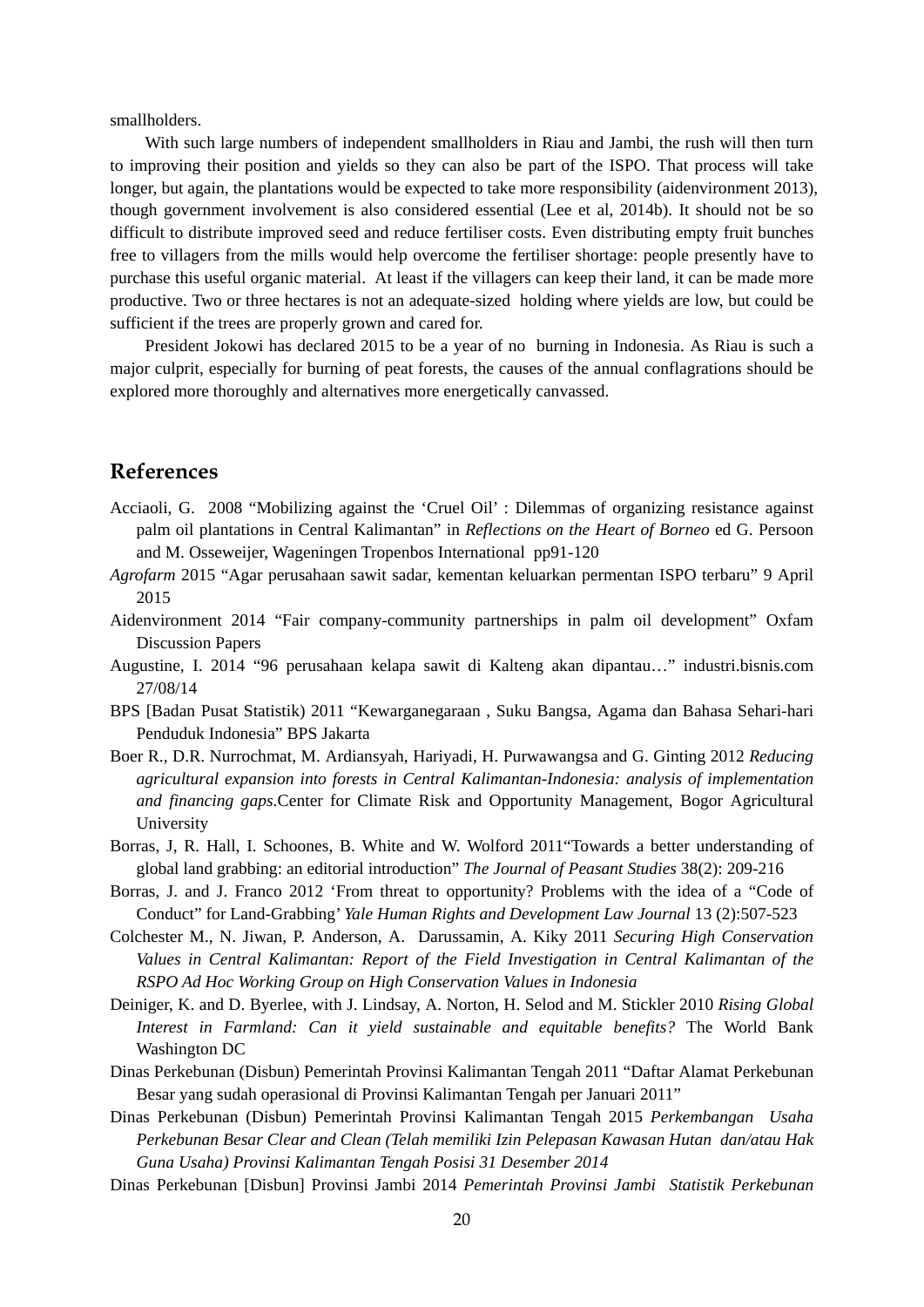smallholders.

With such large numbers of independent smallholders in Riau and Jambi, the rush will then turn to improving their position and yields so they can also be part of the ISPO. That process will take longer, but again, the plantations would be expected to take more responsibility (aidenvironment 2013), though government involvement is also considered essential (Lee et al, 2014b). It should not be so difficult to distribute improved seed and reduce fertiliser costs. Even distributing empty fruit bunches free to villagers from the mills would help overcome the fertiliser shortage: people presently have to purchase this useful organic material. At least if the villagers can keep their land, it can be made more productive. Two or three hectares is not an adequate-sized holding where yields are low, but could be sufficient if the trees are properly grown and cared for.

President Jokowi has declared 2015 to be a year of no burning in Indonesia. As Riau is such a major culprit, especially for burning of peat forests, the causes of the annual conflagrations should be explored more thoroughly and alternatives more energetically canvassed.

### **References**

- Acciaoli, G. 2008 "Mobilizing against the 'Cruel Oil' : Dilemmas of organizing resistance against palm oil plantations in Central Kalimantan" in *Reflections on the Heart of Borneo* ed G. Persoon and M. Osseweijer, Wageningen Tropenbos International pp91-120
- *Agrofarm* 2015 "Agar perusahaan sawit sadar, kementan keluarkan permentan ISPO terbaru" 9 April 2015
- Aidenvironment 2014 "Fair company-community partnerships in palm oil development" Oxfam Discussion Papers
- Augustine, I. 2014 "96 perusahaan kelapa sawit di Kalteng akan dipantau…" industri.bisnis.com 27/08/14
- BPS [Badan Pusat Statistik) 2011 "Kewarganegaraan , Suku Bangsa, Agama dan Bahasa Sehari-hari Penduduk Indonesia" BPS Jakarta
- Boer R., D.R. Nurrochmat, M. Ardiansyah, Hariyadi, H. Purwawangsa and G. Ginting 2012 *Reducing agricultural expansion into forests in Central Kalimantan-Indonesia: analysis of implementation and financing gaps.*Center for Climate Risk and Opportunity Management, Bogor Agricultural University
- Borras, J, R. Hall, I. Schoones, B. White and W. Wolford 2011"Towards a better understanding of global land grabbing: an editorial introduction" *The Journal of Peasant Studies* 38(2): 209-216
- Borras, J. and J. Franco 2012 'From threat to opportunity? Problems with the idea of a "Code of Conduct" for Land-Grabbing' *Yale Human Rights and Development Law Journal* 13 (2):507-523
- Colchester M., N. Jiwan, P. Anderson, A. Darussamin, A. Kiky 2011 *Securing High Conservation Values in Central Kalimantan: Report of the Field Investigation in Central Kalimantan of the RSPO Ad Hoc Working Group on High Conservation Values in Indonesia*
- Deiniger, K. and D. Byerlee, with J. Lindsay, A. Norton, H. Selod and M. Stickler 2010 *Rising Global Interest in Farmland: Can it yield sustainable and equitable benefits?* The World Bank Washington DC
- Dinas Perkebunan (Disbun) Pemerintah Provinsi Kalimantan Tengah 2011 "Daftar Alamat Perkebunan Besar yang sudah operasional di Provinsi Kalimantan Tengah per Januari 2011"
- Dinas Perkebunan (Disbun) Pemerintah Provinsi Kalimantan Tengah 2015 *Perkembangan Usaha Perkebunan Besar Clear and Clean (Telah memiliki Izin Pelepasan Kawasan Hutan dan/atau Hak Guna Usaha) Provinsi Kalimantan Tengah Posisi 31 Desember 2014*
- Dinas Perkebunan [Disbun] Provinsi Jambi 2014 *Pemerintah Provinsi Jambi Statistik Perkebunan*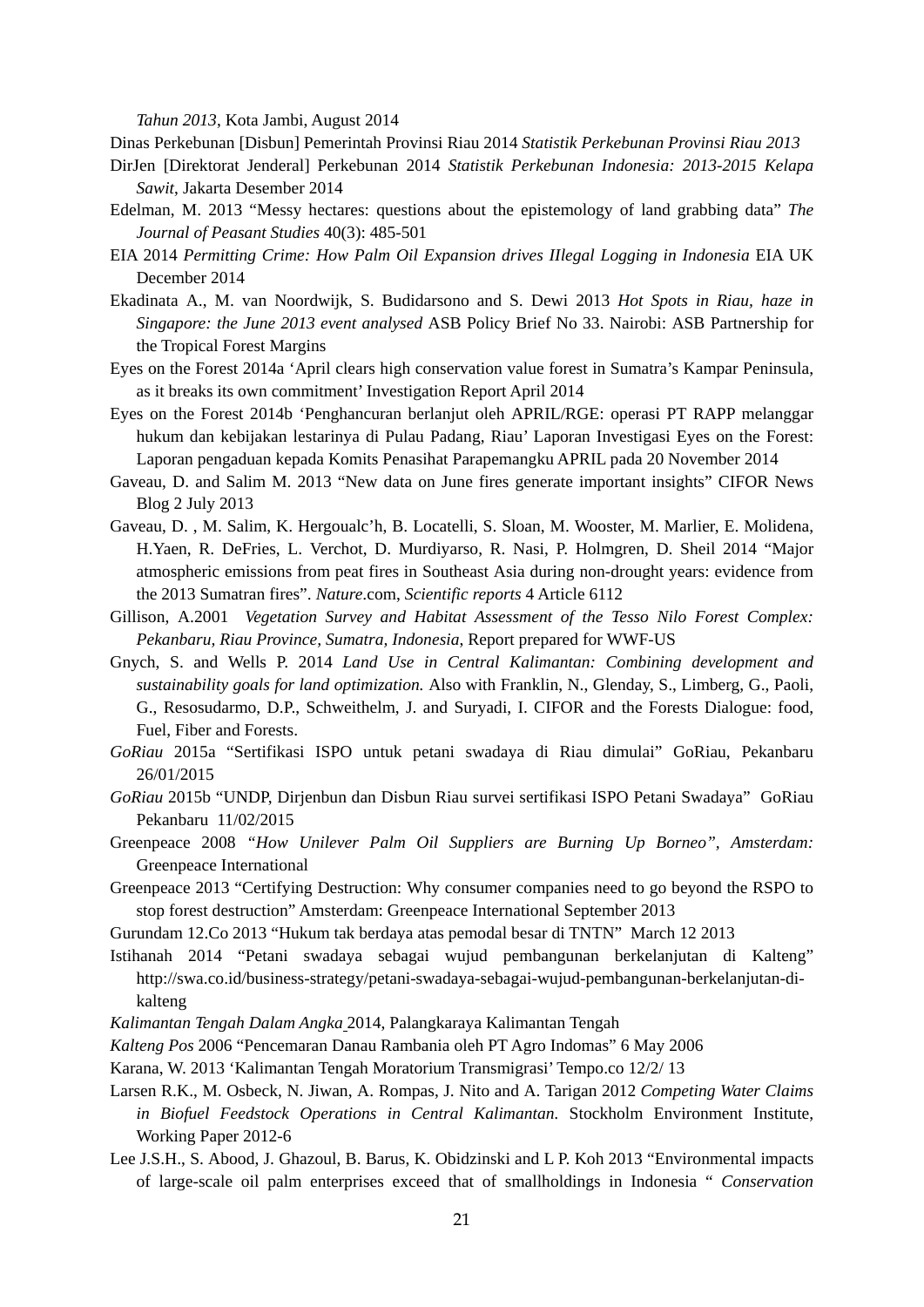*Tahun 2013*, Kota Jambi, August 2014

Dinas Perkebunan [Disbun] Pemerintah Provinsi Riau 2014 *Statistik Perkebunan Provinsi Riau 2013* 

- DirJen [Direktorat Jenderal] Perkebunan 2014 *Statistik Perkebunan Indonesia: 2013-2015 Kelapa Sawit*, Jakarta Desember 2014
- Edelman, M. 2013 "Messy hectares: questions about the epistemology of land grabbing data" *The Journal of Peasant Studies* 40(3): 485-501
- EIA 2014 *Permitting Crime: How Palm Oil Expansion drives IIlegal Logging in Indonesia* EIA UK December 2014
- Ekadinata A., M. van Noordwijk, S. Budidarsono and S. Dewi 2013 *Hot Spots in Riau, haze in Singapore: the June 2013 event analysed* ASB Policy Brief No 33. Nairobi: ASB Partnership for the Tropical Forest Margins
- Eyes on the Forest 2014a 'April clears high conservation value forest in Sumatra's Kampar Peninsula, as it breaks its own commitment' Investigation Report April 2014
- Eyes on the Forest 2014b 'Penghancuran berlanjut oleh APRIL/RGE: operasi PT RAPP melanggar hukum dan kebijakan lestarinya di Pulau Padang, Riau' Laporan Investigasi Eyes on the Forest: Laporan pengaduan kepada Komits Penasihat Parapemangku APRIL pada 20 November 2014
- Gaveau, D. and Salim M. 2013 "New data on June fires generate important insights" CIFOR News Blog 2 July 2013
- Gaveau, D. , M. Salim, K. Hergoualc'h, B. Locatelli, S. Sloan, M. Wooster, M. Marlier, E. Molidena, H.Yaen, R. DeFries, L. Verchot, D. Murdiyarso, R. Nasi, P. Holmgren, D. Sheil 2014 "Major atmospheric emissions from peat fires in Southeast Asia during non-drought years: evidence from the 2013 Sumatran fires". *Nature*.com, *Scientific reports* 4 Article 6112
- Gillison, A.2001 *Vegetation Survey and Habitat Assessment of the Tesso Nilo Forest Complex: Pekanbaru, Riau Province, Sumatra, Indonesia*, Report prepared for WWF-US
- Gnych, S. and Wells P. 2014 *Land Use in Central Kalimantan: Combining development and sustainability goals for land optimization.* Also with Franklin, N., Glenday, S., Limberg, G., Paoli, G., Resosudarmo, D.P., Schweithelm, J. and Suryadi, I. CIFOR and the Forests Dialogue: food, Fuel, Fiber and Forests.
- *GoRiau* 2015a "Sertifikasi ISPO untuk petani swadaya di Riau dimulai" GoRiau, Pekanbaru 26/01/2015
- *GoRiau* 2015b "UNDP, Dirjenbun dan Disbun Riau survei sertifikasi ISPO Petani Swadaya" GoRiau Pekanbaru 11/02/2015
- Greenpeace 2008 *"How Unilever Palm Oil Suppliers are Burning Up Borneo", Amsterdam:* Greenpeace International
- Greenpeace 2013 "Certifying Destruction: Why consumer companies need to go beyond the RSPO to stop forest destruction" Amsterdam: Greenpeace International September 2013
- Gurundam 12.Co 2013 "Hukum tak berdaya atas pemodal besar di TNTN" March 12 2013
- Istihanah 2014 "Petani swadaya sebagai wujud pembangunan berkelanjutan di Kalteng" http://swa.co.id/business-strategy/petani-swadaya-sebagai-wujud-pembangunan-berkelanjutan-dikalteng
- *Kalimantan Tengah Dalam Angka* 2014, Palangkaraya Kalimantan Tengah
- *Kalteng Pos* 2006 "Pencemaran Danau Rambania oleh PT Agro Indomas" 6 May 2006
- Karana, W. 2013 'Kalimantan Tengah Moratorium Transmigrasi' Tempo.co 12/2/ 13
- Larsen R.K., M. Osbeck, N. Jiwan, A. Rompas, J. Nito and A. Tarigan 2012 *Competing Water Claims in Biofuel Feedstock Operations in Central Kalimantan.* Stockholm Environment Institute, Working Paper 2012-6
- Lee J.S.H., S. Abood, J. Ghazoul, B. Barus, K. Obidzinski and L P. Koh 2013 "Environmental impacts of large-scale oil palm enterprises exceed that of smallholdings in Indonesia " *Conservation*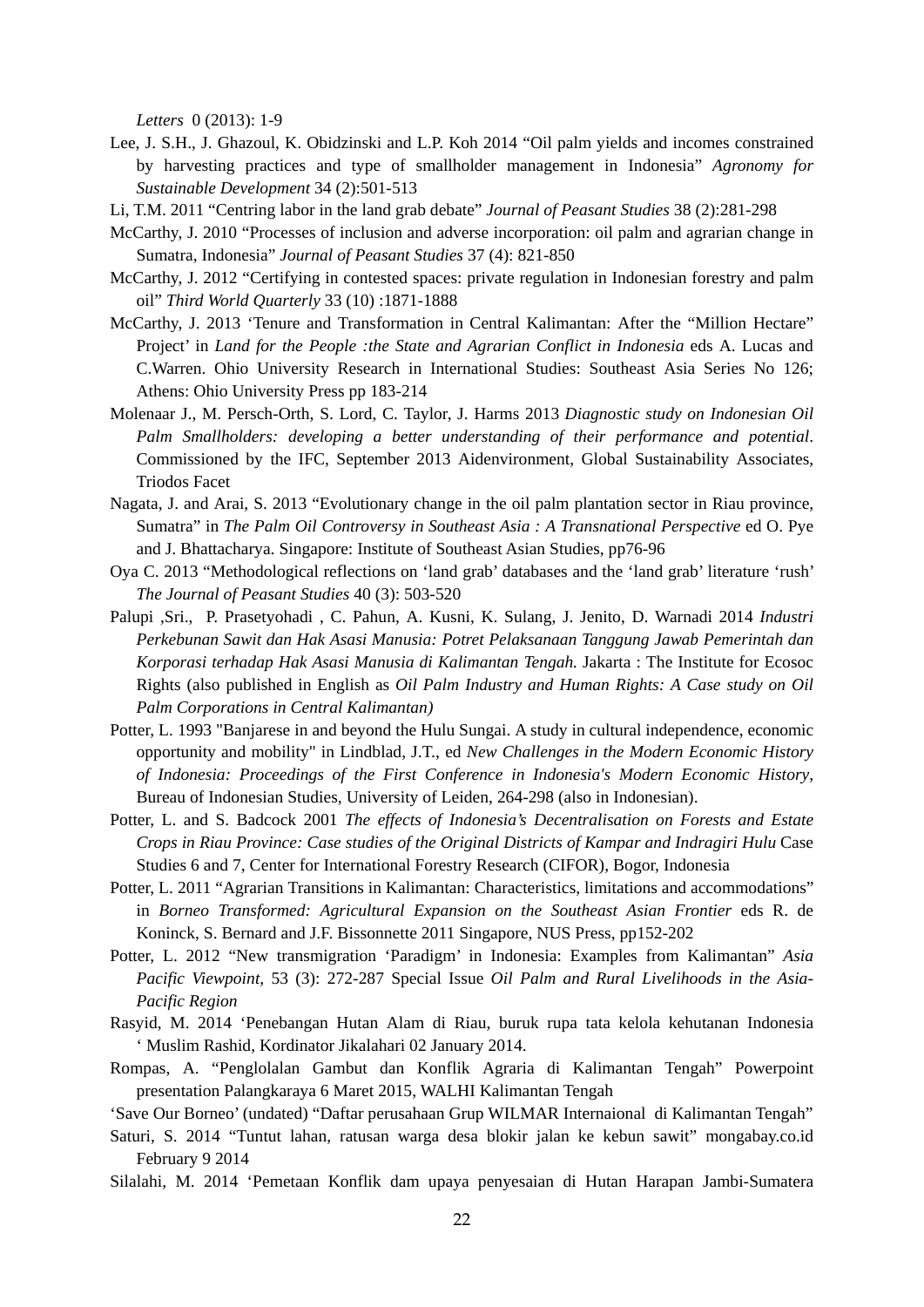*Letters* 0 (2013): 1-9

- Lee, J. S.H., J. Ghazoul, K. Obidzinski and L.P. Koh 2014 "Oil palm yields and incomes constrained by harvesting practices and type of smallholder management in Indonesia" *Agronomy for Sustainable Development* 34 (2):501-513
- Li, T.M. 2011 "Centring labor in the land grab debate" *Journal of Peasant Studies* 38 (2):281-298
- McCarthy, J. 2010 "Processes of inclusion and adverse incorporation: oil palm and agrarian change in Sumatra, Indonesia" *Journal of Peasant Studies* 37 (4): 821-850
- McCarthy, J. 2012 "Certifying in contested spaces: private regulation in Indonesian forestry and palm oil" *Third World Quarterly* 33 (10) :1871-1888
- McCarthy, J. 2013 'Tenure and Transformation in Central Kalimantan: After the "Million Hectare" Project' in *Land for the People :the State and Agrarian Conflict in Indonesia* eds A. Lucas and C.Warren. Ohio University Research in International Studies: Southeast Asia Series No 126; Athens: Ohio University Press pp 183-214
- Molenaar J., M. Persch-Orth, S. Lord, C. Taylor, J. Harms 2013 *Diagnostic study on Indonesian Oil Palm Smallholders: developing a better understanding of their performance and potential*. Commissioned by the IFC, September 2013 Aidenvironment, Global Sustainability Associates, Triodos Facet
- Nagata, J. and Arai, S. 2013 "Evolutionary change in the oil palm plantation sector in Riau province, Sumatra" in *The Palm Oil Controversy in Southeast Asia : A Transnational Perspective* ed O. Pye and J. Bhattacharya. Singapore: Institute of Southeast Asian Studies, pp76-96
- Oya C. 2013 "Methodological reflections on 'land grab' databases and the 'land grab' literature 'rush' *The Journal of Peasant Studies* 40 (3): 503-520
- Palupi ,Sri., P. Prasetyohadi , C. Pahun, A. Kusni, K. Sulang, J. Jenito, D. Warnadi 2014 *Industri Perkebunan Sawit dan Hak Asasi Manusia: Potret Pelaksanaan Tanggung Jawab Pemerintah dan Korporasi terhadap Hak Asasi Manusia di Kalimantan Tengah.* Jakarta : The Institute for Ecosoc Rights (also published in English as *Oil Palm Industry and Human Rights: A Case study on Oil Palm Corporations in Central Kalimantan)*
- Potter, L. 1993 "Banjarese in and beyond the Hulu Sungai. A study in cultural independence, economic opportunity and mobility" in Lindblad, J.T., ed *New Challenges in the Modern Economic History of Indonesia: Proceedings of the First Conference in Indonesia's Modern Economic History*, Bureau of Indonesian Studies, University of Leiden, 264-298 (also in Indonesian).
- Potter, L. and S. Badcock 2001 *The effects of Indonesia's Decentralisation on Forests and Estate Crops in Riau Province: Case studies of the Original Districts of Kampar and Indragiri Hulu* Case Studies 6 and 7, Center for International Forestry Research (CIFOR), Bogor, Indonesia
- Potter, L. 2011 "Agrarian Transitions in Kalimantan: Characteristics, limitations and accommodations" in *Borneo Transformed: Agricultural Expansion on the Southeast Asian Frontier* eds R. de Koninck, S. Bernard and J.F. Bissonnette 2011 Singapore, NUS Press, pp152-202
- Potter, L. 2012 "New transmigration 'Paradigm' in Indonesia: Examples from Kalimantan" *Asia Pacific Viewpoint,* 53 (3): 272-287 Special Issue *Oil Palm and Rural Livelihoods in the Asia-Pacific Region*
- Rasyid, M. 2014 'Penebangan Hutan Alam di Riau, buruk rupa tata kelola kehutanan Indonesia ' Muslim Rashid, Kordinator Jikalahari 02 January 2014.
- Rompas, A. "Penglolalan Gambut dan Konflik Agraria di Kalimantan Tengah" Powerpoint presentation Palangkaraya 6 Maret 2015, WALHI Kalimantan Tengah

'Save Our Borneo' (undated) "Daftar perusahaan Grup WILMAR Internaional di Kalimantan Tengah"

- Saturi, S. 2014 "Tuntut lahan, ratusan warga desa blokir jalan ke kebun sawit" mongabay.co.id February 9 2014
- Silalahi, M. 2014 'Pemetaan Konflik dam upaya penyesaian di Hutan Harapan Jambi-Sumatera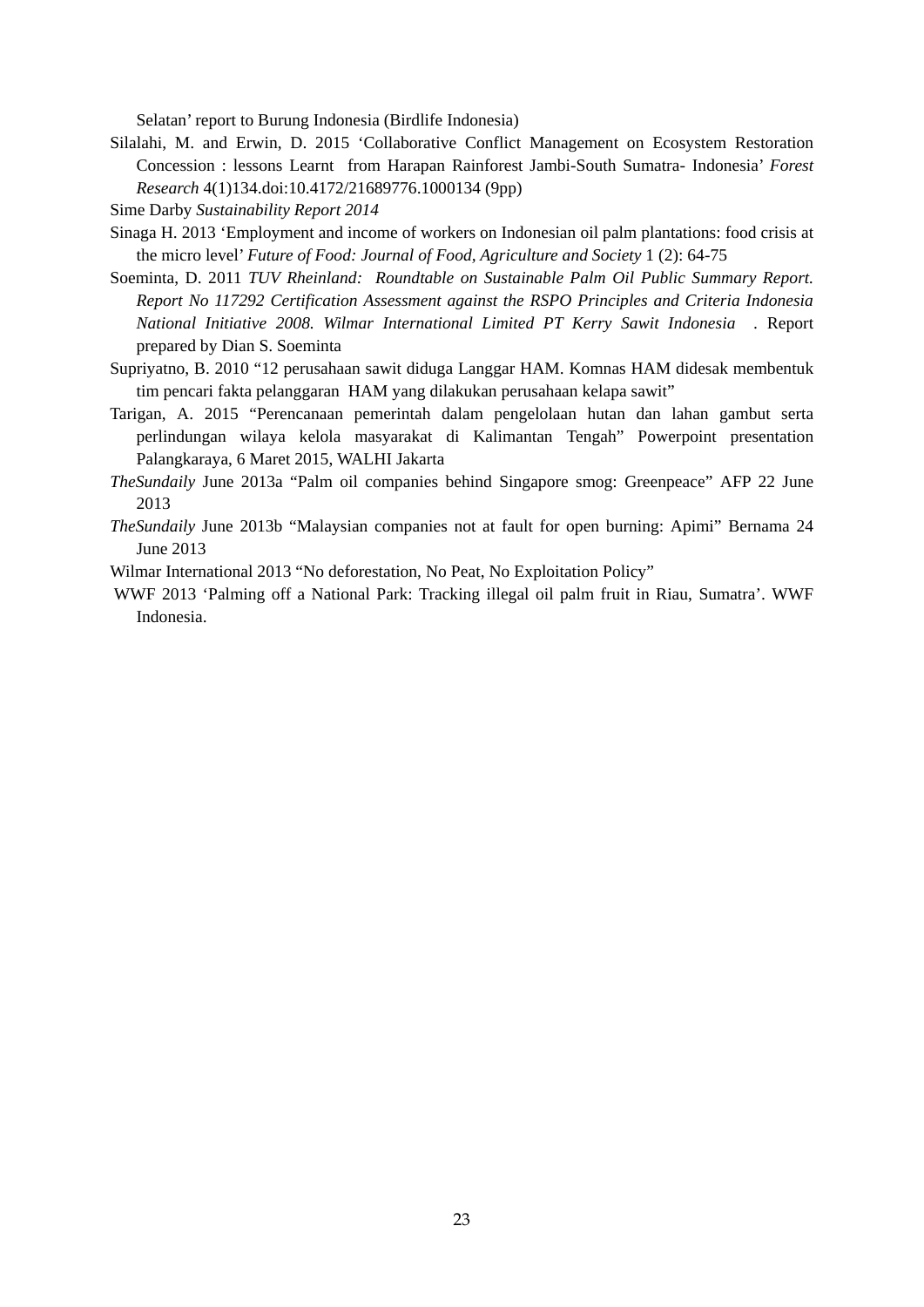Selatan' report to Burung Indonesia (Birdlife Indonesia)

- Silalahi, M. and Erwin, D. 2015 'Collaborative Conflict Management on Ecosystem Restoration Concession : lessons Learnt from Harapan Rainforest Jambi-South Sumatra- Indonesia' *Forest Research* 4(1)134.doi:10.4172/21689776.1000134 (9pp)
- Sime Darby *Sustainability Report 2014*
- Sinaga H. 2013 'Employment and income of workers on Indonesian oil palm plantations: food crisis at the micro level' *Future of Food: Journal of Food, Agriculture and Society* 1 (2): 64-75
- Soeminta, D. 2011 *TUV Rheinland: Roundtable on Sustainable Palm Oil Public Summary Report. Report No 117292 Certification Assessment against the RSPO Principles and Criteria Indonesia National Initiative 2008. Wilmar International Limited PT Kerry Sawit Indonesia .* Report prepared by Dian S. Soeminta
- Supriyatno, B. 2010 "12 perusahaan sawit diduga Langgar HAM. Komnas HAM didesak membentuk tim pencari fakta pelanggaran HAM yang dilakukan perusahaan kelapa sawit"
- Tarigan, A. 2015 "Perencanaan pemerintah dalam pengelolaan hutan dan lahan gambut serta perlindungan wilaya kelola masyarakat di Kalimantan Tengah" Powerpoint presentation Palangkaraya, 6 Maret 2015, WALHI Jakarta
- *TheSundaily* June 2013a "Palm oil companies behind Singapore smog: Greenpeace" AFP 22 June 2013
- *TheSundaily* June 2013b "Malaysian companies not at fault for open burning: Apimi" Bernama 24 June 2013
- Wilmar International 2013 "No deforestation, No Peat, No Exploitation Policy"
- WWF 2013 'Palming off a National Park: Tracking illegal oil palm fruit in Riau, Sumatra'. WWF Indonesia.